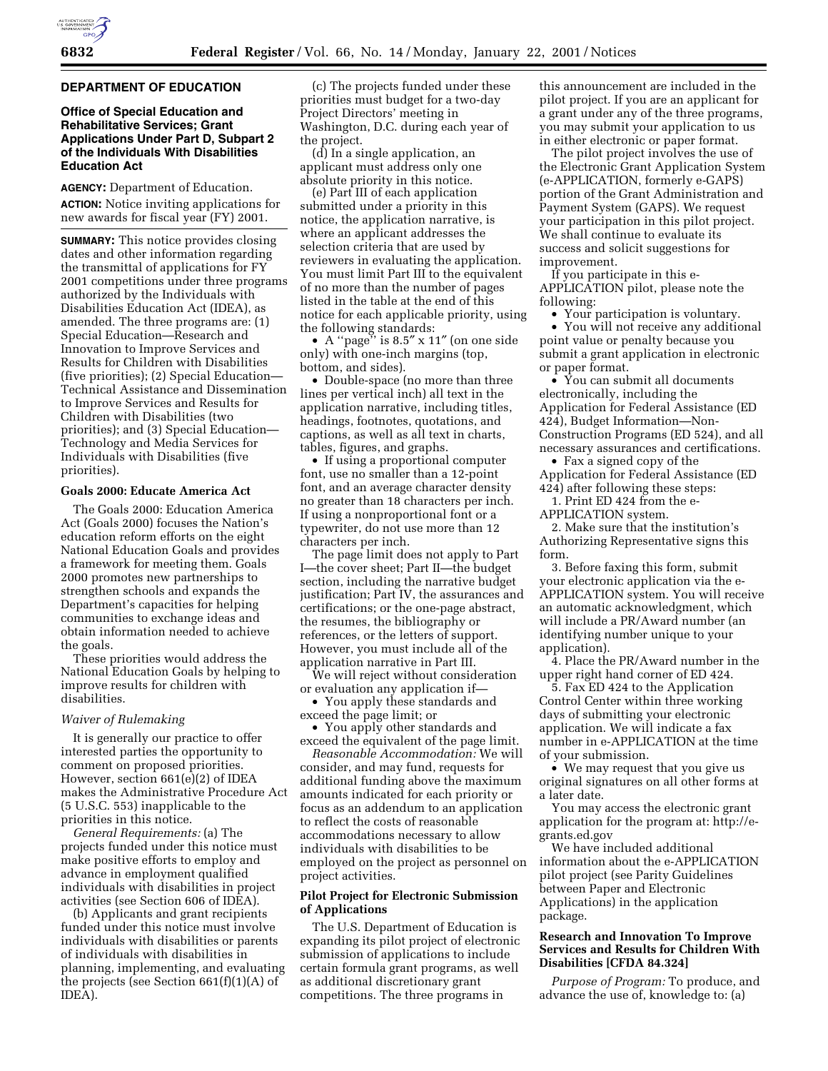#### **DEPARTMENT OF EDUCATION**

## **Office of Special Education and Rehabilitative Services; Grant Applications Under Part D, Subpart 2 of the Individuals With Disabilities Education Act**

**AGENCY:** Department of Education. **ACTION:** Notice inviting applications for new awards for fiscal year (FY) 2001.

**SUMMARY:** This notice provides closing dates and other information regarding the transmittal of applications for FY 2001 competitions under three programs authorized by the Individuals with Disabilities Education Act (IDEA), as amended. The three programs are: (1) Special Education—Research and Innovation to Improve Services and Results for Children with Disabilities (five priorities); (2) Special Education— Technical Assistance and Dissemination to Improve Services and Results for Children with Disabilities (two priorities); and (3) Special Education— Technology and Media Services for Individuals with Disabilities (five priorities).

#### **Goals 2000: Educate America Act**

The Goals 2000: Education America Act (Goals 2000) focuses the Nation's education reform efforts on the eight National Education Goals and provides a framework for meeting them. Goals 2000 promotes new partnerships to strengthen schools and expands the Department's capacities for helping communities to exchange ideas and obtain information needed to achieve the goals.

These priorities would address the National Education Goals by helping to improve results for children with disabilities.

#### *Waiver of Rulemaking*

It is generally our practice to offer interested parties the opportunity to comment on proposed priorities. However, section 661(e)(2) of IDEA makes the Administrative Procedure Act (5 U.S.C. 553) inapplicable to the priorities in this notice.

*General Requirements:* (a) The projects funded under this notice must make positive efforts to employ and advance in employment qualified individuals with disabilities in project activities (see Section 606 of IDEA).

(b) Applicants and grant recipients funded under this notice must involve individuals with disabilities or parents of individuals with disabilities in planning, implementing, and evaluating the projects (see Section 661(f)(1)(A) of IDEA).

(c) The projects funded under these priorities must budget for a two-day Project Directors' meeting in Washington, D.C. during each year of the project.

(d) In a single application, an applicant must address only one absolute priority in this notice.

(e) Part III of each application submitted under a priority in this notice, the application narrative, is where an applicant addresses the selection criteria that are used by reviewers in evaluating the application. You must limit Part III to the equivalent of no more than the number of pages listed in the table at the end of this notice for each applicable priority, using the following standards:

• A ''page'' is 8.5″ x 11″ (on one side only) with one-inch margins (top, bottom, and sides).

• Double-space (no more than three lines per vertical inch) all text in the application narrative, including titles, headings, footnotes, quotations, and captions, as well as all text in charts, tables, figures, and graphs.

• If using a proportional computer font, use no smaller than a 12-point font, and an average character density no greater than 18 characters per inch. If using a nonproportional font or a typewriter, do not use more than 12 characters per inch.

The page limit does not apply to Part I—the cover sheet; Part II—the budget section, including the narrative budget justification; Part IV, the assurances and certifications; or the one-page abstract, the resumes, the bibliography or references, or the letters of support. However, you must include all of the application narrative in Part III.

We will reject without consideration or evaluation any application if—

• You apply these standards and exceed the page limit; or

• You apply other standards and exceed the equivalent of the page limit.

*Reasonable Accommodation:* We will consider, and may fund, requests for additional funding above the maximum amounts indicated for each priority or focus as an addendum to an application to reflect the costs of reasonable accommodations necessary to allow individuals with disabilities to be employed on the project as personnel on project activities.

## **Pilot Project for Electronic Submission of Applications**

The U.S. Department of Education is expanding its pilot project of electronic submission of applications to include certain formula grant programs, as well as additional discretionary grant competitions. The three programs in

this announcement are included in the pilot project. If you are an applicant for a grant under any of the three programs, you may submit your application to us in either electronic or paper format.

The pilot project involves the use of the Electronic Grant Application System (e-APPLICATION, formerly e-GAPS) portion of the Grant Administration and Payment System (GAPS). We request your participation in this pilot project. We shall continue to evaluate its success and solicit suggestions for improvement.

If you participate in this e-APPLICATION pilot, please note the following:

• Your participation is voluntary.

• You will not receive any additional point value or penalty because you submit a grant application in electronic or paper format.

• You can submit all documents electronically, including the Application for Federal Assistance (ED 424), Budget Information—Non-Construction Programs (ED 524), and all necessary assurances and certifications.

• Fax a signed copy of the Application for Federal Assistance (ED 424) after following these steps:

1. Print ED 424 from the e-

APPLICATION system.

2. Make sure that the institution's Authorizing Representative signs this form.

3. Before faxing this form, submit your electronic application via the e-APPLICATION system. You will receive an automatic acknowledgment, which will include a PR/Award number (an identifying number unique to your application).

4. Place the PR/Award number in the upper right hand corner of ED 424.

5. Fax ED 424 to the Application Control Center within three working days of submitting your electronic application. We will indicate a fax number in e-APPLICATION at the time of your submission.

• We may request that you give us original signatures on all other forms at a later date.

You may access the electronic grant application for the program at: http://egrants.ed.gov

We have included additional information about the e-APPLICATION pilot project (see Parity Guidelines between Paper and Electronic Applications) in the application package.

## **Research and Innovation To Improve Services and Results for Children With Disabilities [CFDA 84.324]**

*Purpose of Program:* To produce, and advance the use of, knowledge to: (a)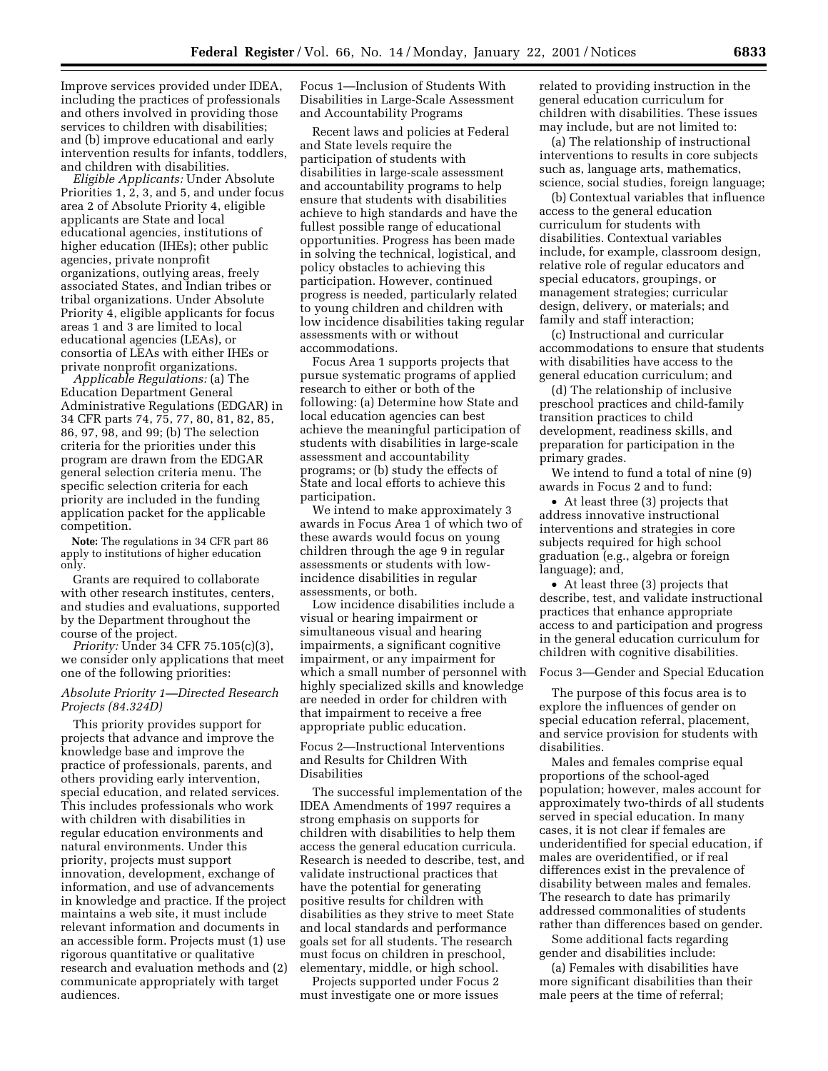Improve services provided under IDEA, including the practices of professionals and others involved in providing those services to children with disabilities; and (b) improve educational and early intervention results for infants, toddlers, and children with disabilities.

*Eligible Applicants:* Under Absolute Priorities 1, 2, 3, and 5, and under focus area 2 of Absolute Priority 4, eligible applicants are State and local educational agencies, institutions of higher education (IHEs); other public agencies, private nonprofit organizations, outlying areas, freely associated States, and Indian tribes or tribal organizations. Under Absolute Priority 4, eligible applicants for focus areas 1 and 3 are limited to local educational agencies (LEAs), or consortia of LEAs with either IHEs or private nonprofit organizations.

*Applicable Regulations:* (a) The Education Department General Administrative Regulations (EDGAR) in 34 CFR parts 74, 75, 77, 80, 81, 82, 85, 86, 97, 98, and 99; (b) The selection criteria for the priorities under this program are drawn from the EDGAR general selection criteria menu. The specific selection criteria for each priority are included in the funding application packet for the applicable competition.

**Note:** The regulations in 34 CFR part 86 apply to institutions of higher education only.

Grants are required to collaborate with other research institutes, centers, and studies and evaluations, supported by the Department throughout the course of the project.

*Priority:* Under 34 CFR 75.105(c)(3), we consider only applications that meet one of the following priorities:

## *Absolute Priority 1—Directed Research Projects (84.324D)*

This priority provides support for projects that advance and improve the knowledge base and improve the practice of professionals, parents, and others providing early intervention, special education, and related services. This includes professionals who work with children with disabilities in regular education environments and natural environments. Under this priority, projects must support innovation, development, exchange of information, and use of advancements in knowledge and practice. If the project maintains a web site, it must include relevant information and documents in an accessible form. Projects must (1) use rigorous quantitative or qualitative research and evaluation methods and (2) communicate appropriately with target audiences.

Focus 1—Inclusion of Students With Disabilities in Large-Scale Assessment and Accountability Programs

Recent laws and policies at Federal and State levels require the participation of students with disabilities in large-scale assessment and accountability programs to help ensure that students with disabilities achieve to high standards and have the fullest possible range of educational opportunities. Progress has been made in solving the technical, logistical, and policy obstacles to achieving this participation. However, continued progress is needed, particularly related to young children and children with low incidence disabilities taking regular assessments with or without accommodations.

Focus Area 1 supports projects that pursue systematic programs of applied research to either or both of the following: (a) Determine how State and local education agencies can best achieve the meaningful participation of students with disabilities in large-scale assessment and accountability programs; or (b) study the effects of State and local efforts to achieve this participation.

We intend to make approximately 3 awards in Focus Area 1 of which two of these awards would focus on young children through the age 9 in regular assessments or students with lowincidence disabilities in regular assessments, or both.

Low incidence disabilities include a visual or hearing impairment or simultaneous visual and hearing impairments, a significant cognitive impairment, or any impairment for which a small number of personnel with highly specialized skills and knowledge are needed in order for children with that impairment to receive a free appropriate public education.

Focus 2—Instructional Interventions and Results for Children With Disabilities

The successful implementation of the IDEA Amendments of 1997 requires a strong emphasis on supports for children with disabilities to help them access the general education curricula. Research is needed to describe, test, and validate instructional practices that have the potential for generating positive results for children with disabilities as they strive to meet State and local standards and performance goals set for all students. The research must focus on children in preschool, elementary, middle, or high school.

Projects supported under Focus 2 must investigate one or more issues related to providing instruction in the general education curriculum for children with disabilities. These issues may include, but are not limited to:

(a) The relationship of instructional interventions to results in core subjects such as, language arts, mathematics, science, social studies, foreign language;

(b) Contextual variables that influence access to the general education curriculum for students with disabilities. Contextual variables include, for example, classroom design, relative role of regular educators and special educators, groupings, or management strategies; curricular design, delivery, or materials; and family and staff interaction;

(c) Instructional and curricular accommodations to ensure that students with disabilities have access to the general education curriculum; and

(d) The relationship of inclusive preschool practices and child-family transition practices to child development, readiness skills, and preparation for participation in the primary grades.

We intend to fund a total of nine (9) awards in Focus 2 and to fund:

• At least three (3) projects that address innovative instructional interventions and strategies in core subjects required for high school graduation (e.g., algebra or foreign language); and,

• At least three (3) projects that describe, test, and validate instructional practices that enhance appropriate access to and participation and progress in the general education curriculum for children with cognitive disabilities.

Focus 3—Gender and Special Education

The purpose of this focus area is to explore the influences of gender on special education referral, placement, and service provision for students with disabilities.

Males and females comprise equal proportions of the school-aged population; however, males account for approximately two-thirds of all students served in special education. In many cases, it is not clear if females are underidentified for special education, if males are overidentified, or if real differences exist in the prevalence of disability between males and females. The research to date has primarily addressed commonalities of students rather than differences based on gender.

Some additional facts regarding gender and disabilities include:

(a) Females with disabilities have more significant disabilities than their male peers at the time of referral;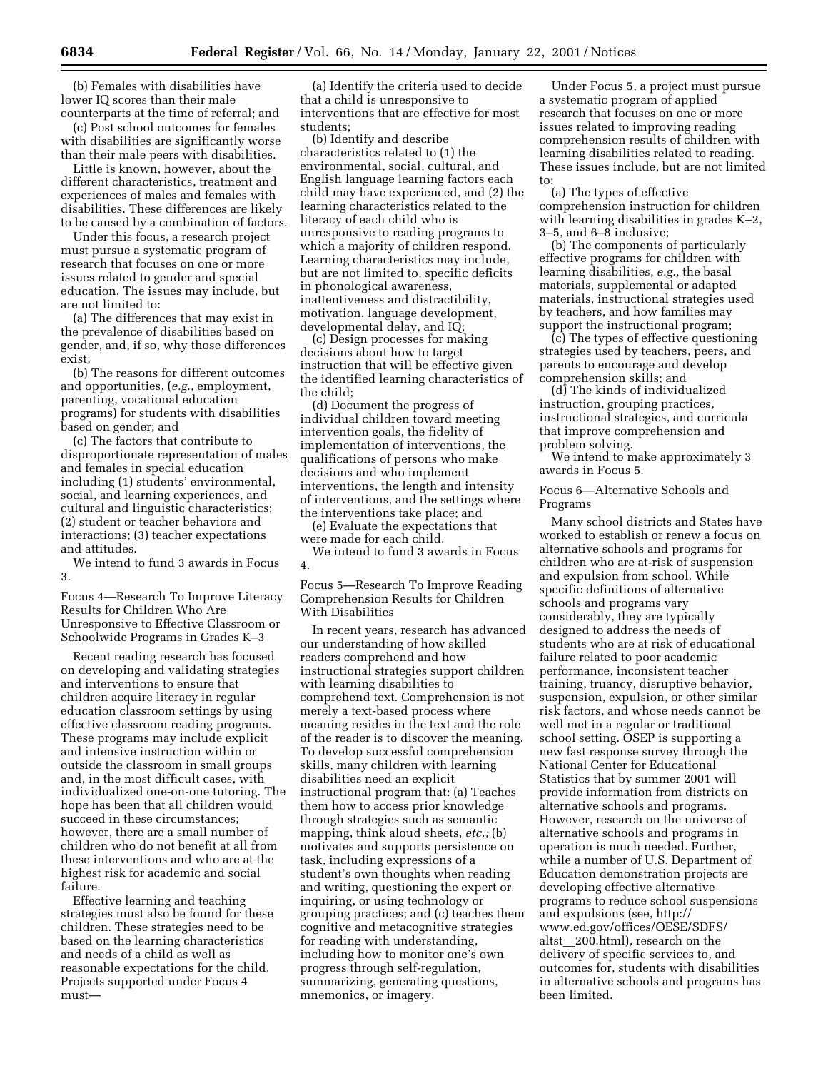(b) Females with disabilities have lower IQ scores than their male counterparts at the time of referral; and

(c) Post school outcomes for females with disabilities are significantly worse than their male peers with disabilities.

Little is known, however, about the different characteristics, treatment and experiences of males and females with disabilities. These differences are likely to be caused by a combination of factors.

Under this focus, a research project must pursue a systematic program of research that focuses on one or more issues related to gender and special education. The issues may include, but are not limited to:

(a) The differences that may exist in the prevalence of disabilities based on gender, and, if so, why those differences exist;

(b) The reasons for different outcomes and opportunities, (*e.g.,* employment, parenting, vocational education programs) for students with disabilities based on gender; and

(c) The factors that contribute to disproportionate representation of males and females in special education including (1) students' environmental, social, and learning experiences, and cultural and linguistic characteristics; (2) student or teacher behaviors and interactions; (3) teacher expectations and attitudes.

We intend to fund 3 awards in Focus 3.

Focus 4—Research To Improve Literacy Results for Children Who Are Unresponsive to Effective Classroom or Schoolwide Programs in Grades K–3

Recent reading research has focused on developing and validating strategies and interventions to ensure that children acquire literacy in regular education classroom settings by using effective classroom reading programs. These programs may include explicit and intensive instruction within or outside the classroom in small groups and, in the most difficult cases, with individualized one-on-one tutoring. The hope has been that all children would succeed in these circumstances; however, there are a small number of children who do not benefit at all from these interventions and who are at the highest risk for academic and social failure.

Effective learning and teaching strategies must also be found for these children. These strategies need to be based on the learning characteristics and needs of a child as well as reasonable expectations for the child. Projects supported under Focus 4 must—

(a) Identify the criteria used to decide that a child is unresponsive to interventions that are effective for most students;

(b) Identify and describe characteristics related to (1) the environmental, social, cultural, and English language learning factors each child may have experienced, and (2) the learning characteristics related to the literacy of each child who is unresponsive to reading programs to which a majority of children respond. Learning characteristics may include, but are not limited to, specific deficits in phonological awareness, inattentiveness and distractibility, motivation, language development, developmental delay, and IQ;

(c) Design processes for making decisions about how to target instruction that will be effective given the identified learning characteristics of the child;

(d) Document the progress of individual children toward meeting intervention goals, the fidelity of implementation of interventions, the qualifications of persons who make decisions and who implement interventions, the length and intensity of interventions, and the settings where the interventions take place; and

(e) Evaluate the expectations that were made for each child.

We intend to fund 3 awards in Focus 4.

Focus 5—Research To Improve Reading Comprehension Results for Children With Disabilities

In recent years, research has advanced our understanding of how skilled readers comprehend and how instructional strategies support children with learning disabilities to comprehend text. Comprehension is not merely a text-based process where meaning resides in the text and the role of the reader is to discover the meaning. To develop successful comprehension skills, many children with learning disabilities need an explicit instructional program that: (a) Teaches them how to access prior knowledge through strategies such as semantic mapping, think aloud sheets, *etc.;* (b) motivates and supports persistence on task, including expressions of a student's own thoughts when reading and writing, questioning the expert or inquiring, or using technology or grouping practices; and (c) teaches them cognitive and metacognitive strategies for reading with understanding, including how to monitor one's own progress through self-regulation, summarizing, generating questions, mnemonics, or imagery.

Under Focus 5, a project must pursue a systematic program of applied research that focuses on one or more issues related to improving reading comprehension results of children with learning disabilities related to reading. These issues include, but are not limited to:

(a) The types of effective comprehension instruction for children with learning disabilities in grades K–2, 3–5, and 6–8 inclusive;

(b) The components of particularly effective programs for children with learning disabilities, *e.g.,* the basal materials, supplemental or adapted materials, instructional strategies used by teachers, and how families may support the instructional program;

(c) The types of effective questioning strategies used by teachers, peers, and parents to encourage and develop comprehension skills; and

(d) The kinds of individualized instruction, grouping practices, instructional strategies, and curricula that improve comprehension and problem solving.

We intend to make approximately 3 awards in Focus 5.

Focus 6—Alternative Schools and Programs

Many school districts and States have worked to establish or renew a focus on alternative schools and programs for children who are at-risk of suspension and expulsion from school. While specific definitions of alternative schools and programs vary considerably, they are typically designed to address the needs of students who are at risk of educational failure related to poor academic performance, inconsistent teacher training, truancy, disruptive behavior, suspension, expulsion, or other similar risk factors, and whose needs cannot be well met in a regular or traditional school setting. OSEP is supporting a new fast response survey through the National Center for Educational Statistics that by summer 2001 will provide information from districts on alternative schools and programs. However, research on the universe of alternative schools and programs in operation is much needed. Further, while a number of U.S. Department of Education demonstration projects are developing effective alternative programs to reduce school suspensions and expulsions (see, http:// www.ed.gov/offices/OESE/SDFS/ altst\_200.html), research on the delivery of specific services to, and outcomes for, students with disabilities in alternative schools and programs has been limited.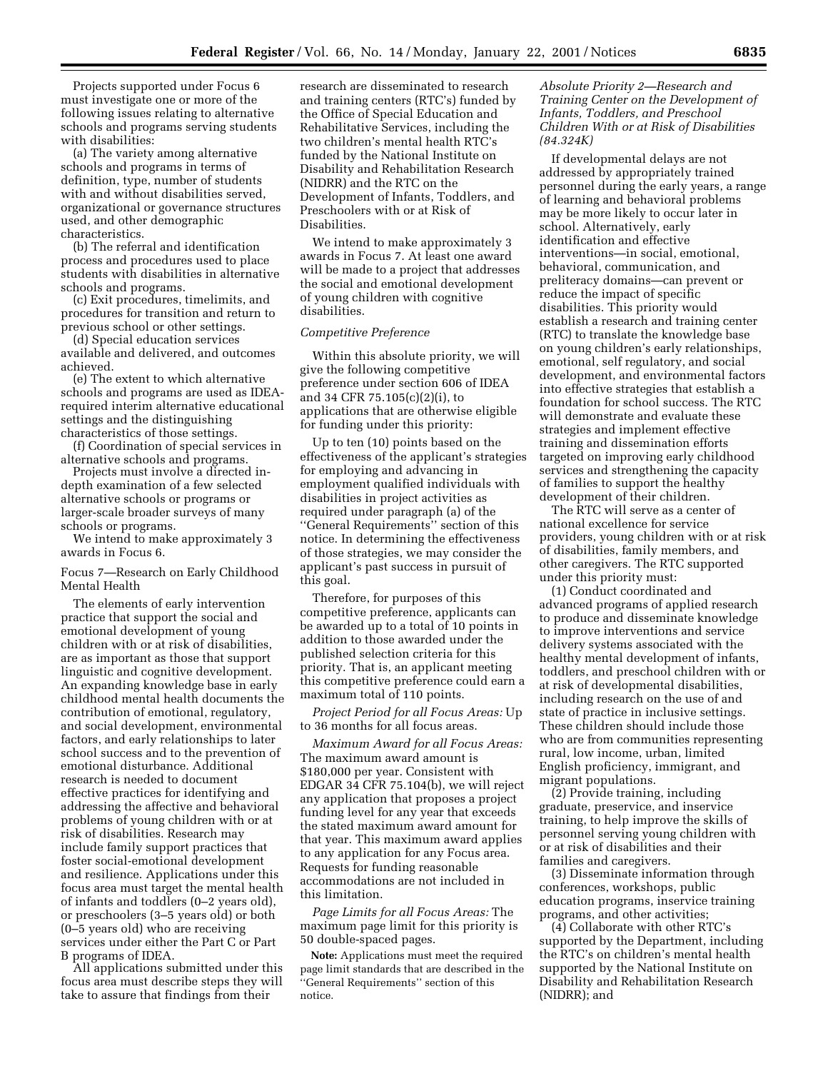Projects supported under Focus 6 must investigate one or more of the following issues relating to alternative schools and programs serving students with disabilities:

(a) The variety among alternative schools and programs in terms of definition, type, number of students with and without disabilities served, organizational or governance structures used, and other demographic characteristics.

(b) The referral and identification process and procedures used to place students with disabilities in alternative schools and programs.

(c) Exit procedures, timelimits, and procedures for transition and return to previous school or other settings.

(d) Special education services available and delivered, and outcomes achieved.

(e) The extent to which alternative schools and programs are used as IDEArequired interim alternative educational settings and the distinguishing characteristics of those settings.

(f) Coordination of special services in alternative schools and programs.

Projects must involve a directed indepth examination of a few selected alternative schools or programs or larger-scale broader surveys of many schools or programs.

We intend to make approximately 3 awards in Focus 6.

Focus 7—Research on Early Childhood Mental Health

The elements of early intervention practice that support the social and emotional development of young children with or at risk of disabilities, are as important as those that support linguistic and cognitive development. An expanding knowledge base in early childhood mental health documents the contribution of emotional, regulatory, and social development, environmental factors, and early relationships to later school success and to the prevention of emotional disturbance. Additional research is needed to document effective practices for identifying and addressing the affective and behavioral problems of young children with or at risk of disabilities. Research may include family support practices that foster social-emotional development and resilience. Applications under this focus area must target the mental health of infants and toddlers (0–2 years old), or preschoolers (3–5 years old) or both (0–5 years old) who are receiving services under either the Part C or Part B programs of IDEA.

All applications submitted under this focus area must describe steps they will take to assure that findings from their

research are disseminated to research and training centers (RTC's) funded by the Office of Special Education and Rehabilitative Services, including the two children's mental health RTC's funded by the National Institute on Disability and Rehabilitation Research (NIDRR) and the RTC on the Development of Infants, Toddlers, and Preschoolers with or at Risk of Disabilities.

We intend to make approximately 3 awards in Focus 7. At least one award will be made to a project that addresses the social and emotional development of young children with cognitive disabilities.

## *Competitive Preference*

Within this absolute priority, we will give the following competitive preference under section 606 of IDEA and 34 CFR 75.105(c)(2)(i), to applications that are otherwise eligible for funding under this priority:

Up to ten (10) points based on the effectiveness of the applicant's strategies for employing and advancing in employment qualified individuals with disabilities in project activities as required under paragraph (a) of the ''General Requirements'' section of this notice. In determining the effectiveness of those strategies, we may consider the applicant's past success in pursuit of this goal.

Therefore, for purposes of this competitive preference, applicants can be awarded up to a total of 10 points in addition to those awarded under the published selection criteria for this priority. That is, an applicant meeting this competitive preference could earn a maximum total of 110 points.

*Project Period for all Focus Areas:* Up to 36 months for all focus areas.

*Maximum Award for all Focus Areas:* The maximum award amount is \$180,000 per year. Consistent with EDGAR 34 CFR 75.104(b), we will reject any application that proposes a project funding level for any year that exceeds the stated maximum award amount for that year. This maximum award applies to any application for any Focus area. Requests for funding reasonable accommodations are not included in this limitation.

*Page Limits for all Focus Areas:* The maximum page limit for this priority is 50 double-spaced pages.

**Note:** Applications must meet the required page limit standards that are described in the ''General Requirements'' section of this notice.

## *Absolute Priority 2—Research and Training Center on the Development of Infants, Toddlers, and Preschool Children With or at Risk of Disabilities (84.324K)*

If developmental delays are not addressed by appropriately trained personnel during the early years, a range of learning and behavioral problems may be more likely to occur later in school. Alternatively, early identification and effective interventions—in social, emotional, behavioral, communication, and preliteracy domains—can prevent or reduce the impact of specific disabilities. This priority would establish a research and training center (RTC) to translate the knowledge base on young children's early relationships, emotional, self regulatory, and social development, and environmental factors into effective strategies that establish a foundation for school success. The RTC will demonstrate and evaluate these strategies and implement effective training and dissemination efforts targeted on improving early childhood services and strengthening the capacity of families to support the healthy development of their children.

The RTC will serve as a center of national excellence for service providers, young children with or at risk of disabilities, family members, and other caregivers. The RTC supported under this priority must:

(1) Conduct coordinated and advanced programs of applied research to produce and disseminate knowledge to improve interventions and service delivery systems associated with the healthy mental development of infants, toddlers, and preschool children with or at risk of developmental disabilities, including research on the use of and state of practice in inclusive settings. These children should include those who are from communities representing rural, low income, urban, limited English proficiency, immigrant, and migrant populations.

(2) Provide training, including graduate, preservice, and inservice training, to help improve the skills of personnel serving young children with or at risk of disabilities and their families and caregivers.

(3) Disseminate information through conferences, workshops, public education programs, inservice training programs, and other activities;

(4) Collaborate with other RTC's supported by the Department, including the RTC's on children's mental health supported by the National Institute on Disability and Rehabilitation Research (NIDRR); and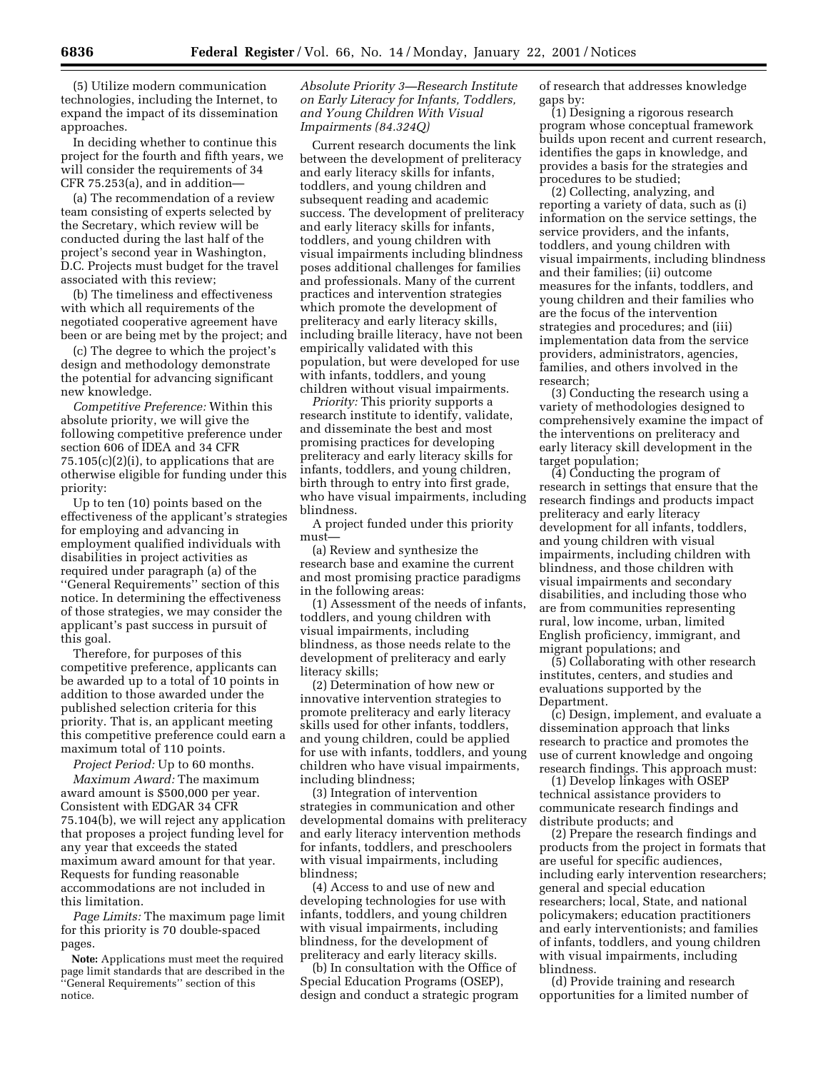(5) Utilize modern communication technologies, including the Internet, to expand the impact of its dissemination approaches.

In deciding whether to continue this project for the fourth and fifth years, we will consider the requirements of 34 CFR 75.253(a), and in addition—

(a) The recommendation of a review team consisting of experts selected by the Secretary, which review will be conducted during the last half of the project's second year in Washington, D.C. Projects must budget for the travel associated with this review;

(b) The timeliness and effectiveness with which all requirements of the negotiated cooperative agreement have been or are being met by the project; and

(c) The degree to which the project's design and methodology demonstrate the potential for advancing significant new knowledge.

*Competitive Preference:* Within this absolute priority, we will give the following competitive preference under section 606 of IDEA and 34 CFR  $75.105(c)(2)(i)$ , to applications that are otherwise eligible for funding under this priority:

Up to ten (10) points based on the effectiveness of the applicant's strategies for employing and advancing in employment qualified individuals with disabilities in project activities as required under paragraph (a) of the ''General Requirements'' section of this notice. In determining the effectiveness of those strategies, we may consider the applicant's past success in pursuit of this goal.

Therefore, for purposes of this competitive preference, applicants can be awarded up to a total of 10 points in addition to those awarded under the published selection criteria for this priority. That is, an applicant meeting this competitive preference could earn a maximum total of 110 points.

*Project Period:* Up to 60 months.

*Maximum Award:* The maximum award amount is \$500,000 per year. Consistent with EDGAR 34 CFR 75.104(b), we will reject any application that proposes a project funding level for any year that exceeds the stated maximum award amount for that year. Requests for funding reasonable accommodations are not included in this limitation.

*Page Limits:* The maximum page limit for this priority is 70 double-spaced pages.

**Note:** Applications must meet the required page limit standards that are described in the ''General Requirements'' section of this notice.

## *Absolute Priority 3—Research Institute on Early Literacy for Infants, Toddlers, and Young Children With Visual Impairments (84.324Q)*

Current research documents the link between the development of preliteracy and early literacy skills for infants, toddlers, and young children and subsequent reading and academic success. The development of preliteracy and early literacy skills for infants, toddlers, and young children with visual impairments including blindness poses additional challenges for families and professionals. Many of the current practices and intervention strategies which promote the development of preliteracy and early literacy skills, including braille literacy, have not been empirically validated with this population, but were developed for use with infants, toddlers, and young children without visual impairments.

*Priority:* This priority supports a research institute to identify, validate, and disseminate the best and most promising practices for developing preliteracy and early literacy skills for infants, toddlers, and young children, birth through to entry into first grade, who have visual impairments, including blindness.

A project funded under this priority must—

(a) Review and synthesize the research base and examine the current and most promising practice paradigms in the following areas:

(1) Assessment of the needs of infants, toddlers, and young children with visual impairments, including blindness, as those needs relate to the development of preliteracy and early literacy skills;

(2) Determination of how new or innovative intervention strategies to promote preliteracy and early literacy skills used for other infants, toddlers, and young children, could be applied for use with infants, toddlers, and young children who have visual impairments, including blindness;

(3) Integration of intervention strategies in communication and other developmental domains with preliteracy and early literacy intervention methods for infants, toddlers, and preschoolers with visual impairments, including blindness;

(4) Access to and use of new and developing technologies for use with infants, toddlers, and young children with visual impairments, including blindness, for the development of preliteracy and early literacy skills.

(b) In consultation with the Office of Special Education Programs (OSEP), design and conduct a strategic program of research that addresses knowledge gaps by:

(1) Designing a rigorous research program whose conceptual framework builds upon recent and current research, identifies the gaps in knowledge, and provides a basis for the strategies and procedures to be studied;

(2) Collecting, analyzing, and reporting a variety of data, such as (i) information on the service settings, the service providers, and the infants, toddlers, and young children with visual impairments, including blindness and their families; (ii) outcome measures for the infants, toddlers, and young children and their families who are the focus of the intervention strategies and procedures; and (iii) implementation data from the service providers, administrators, agencies, families, and others involved in the research;

(3) Conducting the research using a variety of methodologies designed to comprehensively examine the impact of the interventions on preliteracy and early literacy skill development in the target population;

(4) Conducting the program of research in settings that ensure that the research findings and products impact preliteracy and early literacy development for all infants, toddlers, and young children with visual impairments, including children with blindness, and those children with visual impairments and secondary disabilities, and including those who are from communities representing rural, low income, urban, limited English proficiency, immigrant, and migrant populations; and

(5) Collaborating with other research institutes, centers, and studies and evaluations supported by the Department.

(c) Design, implement, and evaluate a dissemination approach that links research to practice and promotes the use of current knowledge and ongoing research findings. This approach must:

(1) Develop linkages with OSEP technical assistance providers to communicate research findings and distribute products; and

(2) Prepare the research findings and products from the project in formats that are useful for specific audiences, including early intervention researchers; general and special education researchers; local, State, and national policymakers; education practitioners and early interventionists; and families of infants, toddlers, and young children with visual impairments, including blindness.

(d) Provide training and research opportunities for a limited number of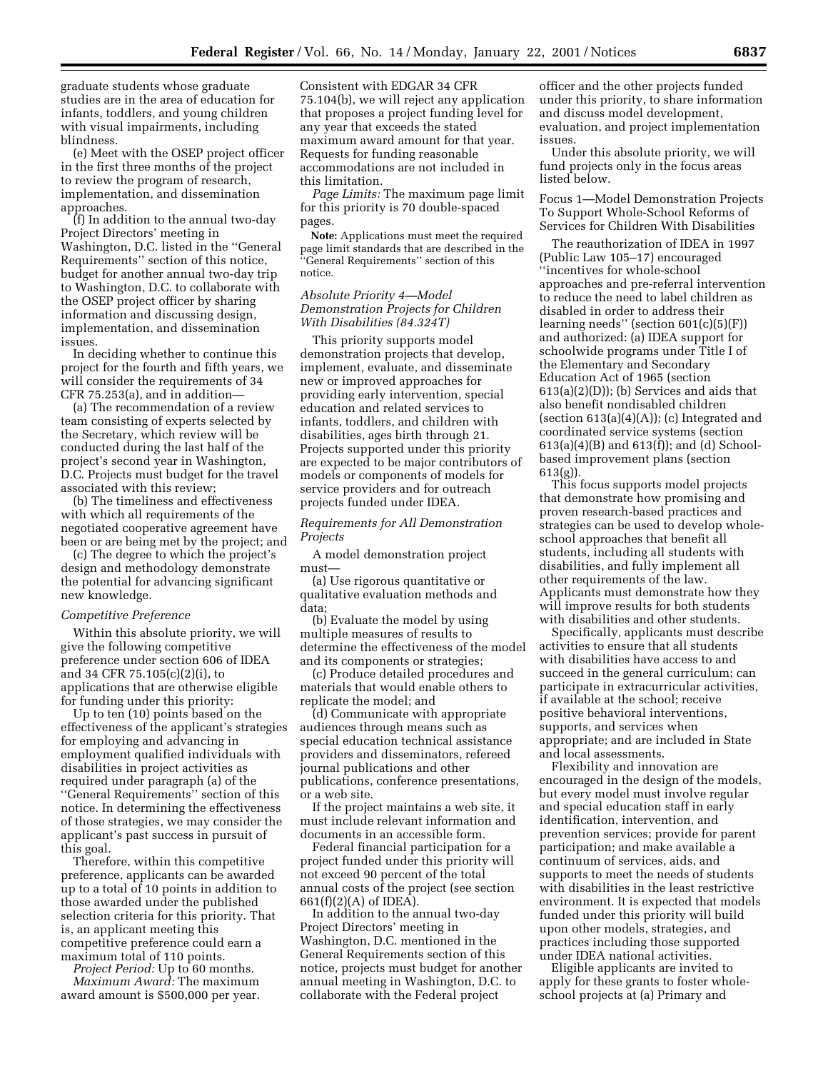graduate students whose graduate studies are in the area of education for infants, toddlers, and young children with visual impairments, including blindness.

(e) Meet with the OSEP project officer in the first three months of the project to review the program of research, implementation, and dissemination approaches.

(f) In addition to the annual two-day Project Directors' meeting in Washington, D.C. listed in the ''General Requirements'' section of this notice, budget for another annual two-day trip to Washington, D.C. to collaborate with the OSEP project officer by sharing information and discussing design, implementation, and dissemination issues.

In deciding whether to continue this project for the fourth and fifth years, we will consider the requirements of 34 CFR 75.253(a), and in addition—

(a) The recommendation of a review team consisting of experts selected by the Secretary, which review will be conducted during the last half of the project's second year in Washington, D.C. Projects must budget for the travel associated with this review;

(b) The timeliness and effectiveness with which all requirements of the negotiated cooperative agreement have been or are being met by the project; and

(c) The degree to which the project's design and methodology demonstrate the potential for advancing significant new knowledge.

### *Competitive Preference*

Within this absolute priority, we will give the following competitive preference under section 606 of IDEA and 34 CFR 75.105(c)(2)(i), to applications that are otherwise eligible for funding under this priority:

Up to ten (10) points based on the effectiveness of the applicant's strategies for employing and advancing in employment qualified individuals with disabilities in project activities as required under paragraph (a) of the ''General Requirements'' section of this notice. In determining the effectiveness of those strategies, we may consider the applicant's past success in pursuit of this goal.

Therefore, within this competitive preference, applicants can be awarded up to a total of 10 points in addition to those awarded under the published selection criteria for this priority. That is, an applicant meeting this competitive preference could earn a maximum total of 110 points.

*Project Period:* Up to 60 months. *Maximum Award:* The maximum award amount is \$500,000 per year. Consistent with EDGAR 34 CFR 75.104(b), we will reject any application that proposes a project funding level for any year that exceeds the stated maximum award amount for that year. Requests for funding reasonable accommodations are not included in this limitation.

*Page Limits:* The maximum page limit for this priority is 70 double-spaced pages.

**Note:** Applications must meet the required page limit standards that are described in the ''General Requirements'' section of this notice.

## *Absolute Priority 4—Model Demonstration Projects for Children With Disabilities (84.324T)*

This priority supports model demonstration projects that develop, implement, evaluate, and disseminate new or improved approaches for providing early intervention, special education and related services to infants, toddlers, and children with disabilities, ages birth through 21. Projects supported under this priority are expected to be major contributors of models or components of models for service providers and for outreach projects funded under IDEA.

*Requirements for All Demonstration Projects*

A model demonstration project must—

(a) Use rigorous quantitative or qualitative evaluation methods and data;

(b) Evaluate the model by using multiple measures of results to determine the effectiveness of the model and its components or strategies;

(c) Produce detailed procedures and materials that would enable others to replicate the model; and

(d) Communicate with appropriate audiences through means such as special education technical assistance providers and disseminators, refereed journal publications and other publications, conference presentations, or a web site.

If the project maintains a web site, it must include relevant information and documents in an accessible form.

Federal financial participation for a project funded under this priority will not exceed 90 percent of the total annual costs of the project (see section 661(f)(2)(A) of IDEA).

In addition to the annual two-day Project Directors' meeting in Washington, D.C. mentioned in the General Requirements section of this notice, projects must budget for another annual meeting in Washington, D.C. to collaborate with the Federal project

officer and the other projects funded under this priority, to share information and discuss model development, evaluation, and project implementation issues.

Under this absolute priority, we will fund projects only in the focus areas listed below.

Focus 1—Model Demonstration Projects To Support Whole-School Reforms of Services for Children With Disabilities

The reauthorization of IDEA in 1997 (Public Law 105–17) encouraged ''incentives for whole-school approaches and pre-referral intervention to reduce the need to label children as disabled in order to address their learning needs'' (section 601(c)(5)(F)) and authorized: (a) IDEA support for schoolwide programs under Title I of the Elementary and Secondary Education Act of 1965 (section 613(a)(2)(D)); (b) Services and aids that also benefit nondisabled children (section  $613(a)(4)(A)$ ); (c) Integrated and coordinated service systems (section 613(a)(4)(B) and 613(f)); and (d) Schoolbased improvement plans (section 613(g)).

This focus supports model projects that demonstrate how promising and proven research-based practices and strategies can be used to develop wholeschool approaches that benefit all students, including all students with disabilities, and fully implement all other requirements of the law. Applicants must demonstrate how they will improve results for both students with disabilities and other students.

Specifically, applicants must describe activities to ensure that all students with disabilities have access to and succeed in the general curriculum; can participate in extracurricular activities, if available at the school; receive positive behavioral interventions, supports, and services when appropriate; and are included in State and local assessments.

Flexibility and innovation are encouraged in the design of the models, but every model must involve regular and special education staff in early identification, intervention, and prevention services; provide for parent participation; and make available a continuum of services, aids, and supports to meet the needs of students with disabilities in the least restrictive environment. It is expected that models funded under this priority will build upon other models, strategies, and practices including those supported under IDEA national activities.

Eligible applicants are invited to apply for these grants to foster wholeschool projects at (a) Primary and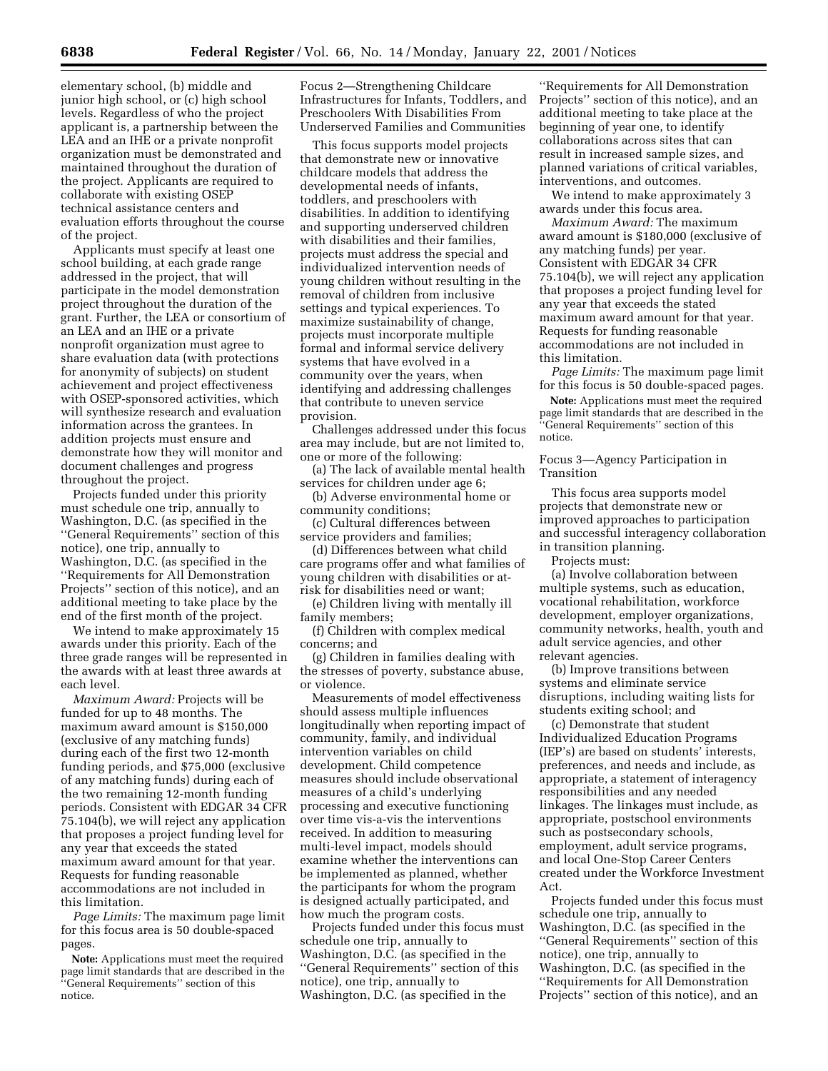elementary school, (b) middle and junior high school, or (c) high school levels. Regardless of who the project applicant is, a partnership between the LEA and an IHE or a private nonprofit organization must be demonstrated and maintained throughout the duration of the project. Applicants are required to collaborate with existing OSEP technical assistance centers and evaluation efforts throughout the course of the project.

Applicants must specify at least one school building, at each grade range addressed in the project, that will participate in the model demonstration project throughout the duration of the grant. Further, the LEA or consortium of an LEA and an IHE or a private nonprofit organization must agree to share evaluation data (with protections for anonymity of subjects) on student achievement and project effectiveness with OSEP-sponsored activities, which will synthesize research and evaluation information across the grantees. In addition projects must ensure and demonstrate how they will monitor and document challenges and progress throughout the project.

Projects funded under this priority must schedule one trip, annually to Washington, D.C. (as specified in the ''General Requirements'' section of this notice), one trip, annually to Washington, D.C. (as specified in the ''Requirements for All Demonstration Projects'' section of this notice), and an additional meeting to take place by the end of the first month of the project.

We intend to make approximately 15 awards under this priority. Each of the three grade ranges will be represented in the awards with at least three awards at each level.

*Maximum Award:* Projects will be funded for up to 48 months. The maximum award amount is \$150,000 (exclusive of any matching funds) during each of the first two 12-month funding periods, and \$75,000 (exclusive of any matching funds) during each of the two remaining 12-month funding periods. Consistent with EDGAR 34 CFR 75.104(b), we will reject any application that proposes a project funding level for any year that exceeds the stated maximum award amount for that year. Requests for funding reasonable accommodations are not included in this limitation.

*Page Limits:* The maximum page limit for this focus area is 50 double-spaced pages.

**Note:** Applications must meet the required page limit standards that are described in the ''General Requirements'' section of this notice.

Focus 2—Strengthening Childcare Infrastructures for Infants, Toddlers, and Preschoolers With Disabilities From Underserved Families and Communities

This focus supports model projects that demonstrate new or innovative childcare models that address the developmental needs of infants, toddlers, and preschoolers with disabilities. In addition to identifying and supporting underserved children with disabilities and their families, projects must address the special and individualized intervention needs of young children without resulting in the removal of children from inclusive settings and typical experiences. To maximize sustainability of change, projects must incorporate multiple formal and informal service delivery systems that have evolved in a community over the years, when identifying and addressing challenges that contribute to uneven service provision.

Challenges addressed under this focus area may include, but are not limited to, one or more of the following:

(a) The lack of available mental health services for children under age 6;

(b) Adverse environmental home or community conditions;

(c) Cultural differences between service providers and families;

(d) Differences between what child care programs offer and what families of young children with disabilities or atrisk for disabilities need or want;

(e) Children living with mentally ill family members;

(f) Children with complex medical concerns; and

(g) Children in families dealing with the stresses of poverty, substance abuse, or violence.

Measurements of model effectiveness should assess multiple influences longitudinally when reporting impact of community, family, and individual intervention variables on child development. Child competence measures should include observational measures of a child's underlying processing and executive functioning over time vis-a-vis the interventions received. In addition to measuring multi-level impact, models should examine whether the interventions can be implemented as planned, whether the participants for whom the program is designed actually participated, and how much the program costs.

Projects funded under this focus must schedule one trip, annually to Washington, D.C. (as specified in the ''General Requirements'' section of this notice), one trip, annually to Washington, D.C. (as specified in the

''Requirements for All Demonstration Projects'' section of this notice), and an additional meeting to take place at the beginning of year one, to identify collaborations across sites that can result in increased sample sizes, and planned variations of critical variables, interventions, and outcomes.

We intend to make approximately 3 awards under this focus area.

*Maximum Award:* The maximum award amount is \$180,000 (exclusive of any matching funds) per year. Consistent with EDGAR 34 CFR 75.104(b), we will reject any application that proposes a project funding level for any year that exceeds the stated maximum award amount for that year. Requests for funding reasonable accommodations are not included in this limitation.

*Page Limits:* The maximum page limit for this focus is 50 double-spaced pages.

**Note:** Applications must meet the required page limit standards that are described in the ''General Requirements'' section of this notice.

Focus 3—Agency Participation in Transition

This focus area supports model projects that demonstrate new or improved approaches to participation and successful interagency collaboration in transition planning.

Projects must:

(a) Involve collaboration between multiple systems, such as education, vocational rehabilitation, workforce development, employer organizations, community networks, health, youth and adult service agencies, and other relevant agencies.

(b) Improve transitions between systems and eliminate service disruptions, including waiting lists for students exiting school; and

(c) Demonstrate that student Individualized Education Programs (IEP's) are based on students' interests, preferences, and needs and include, as appropriate, a statement of interagency responsibilities and any needed linkages. The linkages must include, as appropriate, postschool environments such as postsecondary schools, employment, adult service programs, and local One-Stop Career Centers created under the Workforce Investment Act.

Projects funded under this focus must schedule one trip, annually to Washington, D.C. (as specified in the ''General Requirements'' section of this notice), one trip, annually to Washington, D.C. (as specified in the ''Requirements for All Demonstration Projects'' section of this notice), and an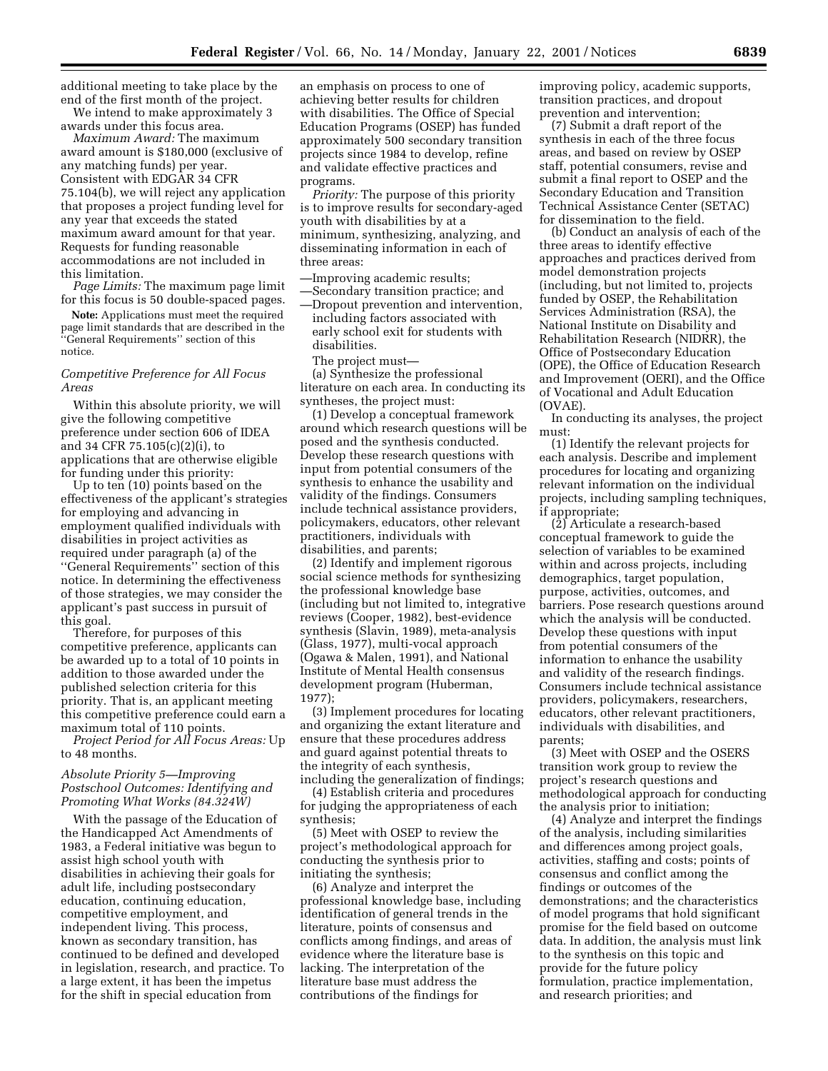additional meeting to take place by the end of the first month of the project.

We intend to make approximately 3 awards under this focus area.

*Maximum Award:* The maximum award amount is \$180,000 (exclusive of any matching funds) per year. Consistent with EDGAR 34 CFR 75.104(b), we will reject any application that proposes a project funding level for any year that exceeds the stated maximum award amount for that year. Requests for funding reasonable accommodations are not included in this limitation.

*Page Limits:* The maximum page limit for this focus is 50 double-spaced pages.

**Note:** Applications must meet the required page limit standards that are described in the ''General Requirements'' section of this notice.

## *Competitive Preference for All Focus Areas*

Within this absolute priority, we will give the following competitive preference under section 606 of IDEA and 34 CFR 75.105(c)(2)(i), to applications that are otherwise eligible for funding under this priority:

Up to ten (10) points based on the effectiveness of the applicant's strategies for employing and advancing in employment qualified individuals with disabilities in project activities as required under paragraph (a) of the ''General Requirements'' section of this notice. In determining the effectiveness of those strategies, we may consider the applicant's past success in pursuit of this goal.

Therefore, for purposes of this competitive preference, applicants can be awarded up to a total of 10 points in addition to those awarded under the published selection criteria for this priority. That is, an applicant meeting this competitive preference could earn a maximum total of 110 points.

*Project Period for All Focus Areas:* Up to 48 months.

### *Absolute Priority 5—Improving Postschool Outcomes: Identifying and Promoting What Works (84.324W)*

With the passage of the Education of the Handicapped Act Amendments of 1983, a Federal initiative was begun to assist high school youth with disabilities in achieving their goals for adult life, including postsecondary education, continuing education, competitive employment, and independent living. This process, known as secondary transition, has continued to be defined and developed in legislation, research, and practice. To a large extent, it has been the impetus for the shift in special education from

an emphasis on process to one of achieving better results for children with disabilities. The Office of Special Education Programs (OSEP) has funded approximately 500 secondary transition projects since 1984 to develop, refine and validate effective practices and programs.

*Priority:* The purpose of this priority is to improve results for secondary-aged youth with disabilities by at a minimum, synthesizing, analyzing, and disseminating information in each of three areas:

- —Improving academic results;
- —Secondary transition practice; and —Dropout prevention and intervention, including factors associated with early school exit for students with disabilities.
	- The project must—

(a) Synthesize the professional literature on each area. In conducting its syntheses, the project must:

(1) Develop a conceptual framework around which research questions will be posed and the synthesis conducted. Develop these research questions with input from potential consumers of the synthesis to enhance the usability and validity of the findings. Consumers include technical assistance providers, policymakers, educators, other relevant practitioners, individuals with disabilities, and parents;

(2) Identify and implement rigorous social science methods for synthesizing the professional knowledge base (including but not limited to, integrative reviews (Cooper, 1982), best-evidence synthesis (Slavin, 1989), meta-analysis (Glass, 1977), multi-vocal approach (Ogawa & Malen, 1991), and National Institute of Mental Health consensus development program (Huberman, 1977);

(3) Implement procedures for locating and organizing the extant literature and ensure that these procedures address and guard against potential threats to the integrity of each synthesis, including the generalization of findings;

(4) Establish criteria and procedures for judging the appropriateness of each synthesis;

(5) Meet with OSEP to review the project's methodological approach for conducting the synthesis prior to initiating the synthesis;

(6) Analyze and interpret the professional knowledge base, including identification of general trends in the literature, points of consensus and conflicts among findings, and areas of evidence where the literature base is lacking. The interpretation of the literature base must address the contributions of the findings for

improving policy, academic supports, transition practices, and dropout prevention and intervention;

(7) Submit a draft report of the synthesis in each of the three focus areas, and based on review by OSEP staff, potential consumers, revise and submit a final report to OSEP and the Secondary Education and Transition Technical Assistance Center (SETAC) for dissemination to the field.

(b) Conduct an analysis of each of the three areas to identify effective approaches and practices derived from model demonstration projects (including, but not limited to, projects funded by OSEP, the Rehabilitation Services Administration (RSA), the National Institute on Disability and Rehabilitation Research (NIDRR), the Office of Postsecondary Education (OPE), the Office of Education Research and Improvement (OERI), and the Office of Vocational and Adult Education (OVAE).

In conducting its analyses, the project must:

(1) Identify the relevant projects for each analysis. Describe and implement procedures for locating and organizing relevant information on the individual projects, including sampling techniques, if appropriate;

(2) Articulate a research-based conceptual framework to guide the selection of variables to be examined within and across projects, including demographics, target population, purpose, activities, outcomes, and barriers. Pose research questions around which the analysis will be conducted. Develop these questions with input from potential consumers of the information to enhance the usability and validity of the research findings. Consumers include technical assistance providers, policymakers, researchers, educators, other relevant practitioners, individuals with disabilities, and parents;

(3) Meet with OSEP and the OSERS transition work group to review the project's research questions and methodological approach for conducting the analysis prior to initiation;

(4) Analyze and interpret the findings of the analysis, including similarities and differences among project goals, activities, staffing and costs; points of consensus and conflict among the findings or outcomes of the demonstrations; and the characteristics of model programs that hold significant promise for the field based on outcome data. In addition, the analysis must link to the synthesis on this topic and provide for the future policy formulation, practice implementation, and research priorities; and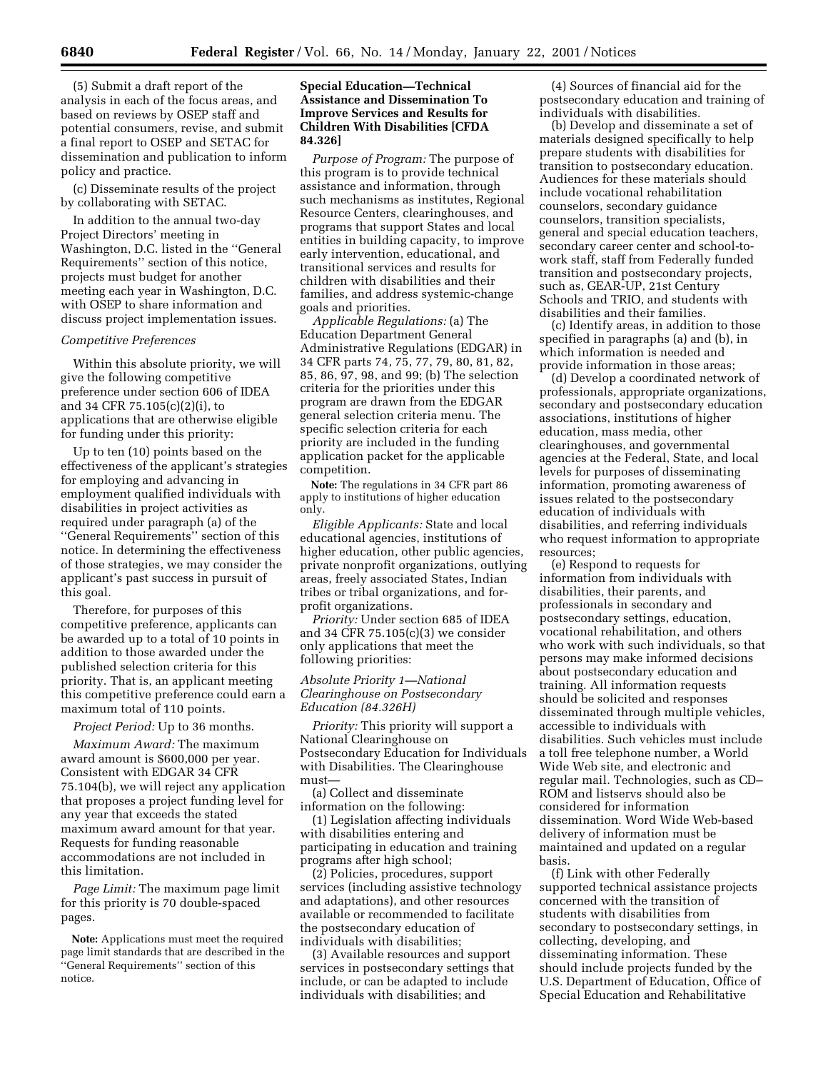(5) Submit a draft report of the analysis in each of the focus areas, and based on reviews by OSEP staff and potential consumers, revise, and submit a final report to OSEP and SETAC for dissemination and publication to inform policy and practice.

(c) Disseminate results of the project by collaborating with SETAC.

In addition to the annual two-day Project Directors' meeting in Washington, D.C. listed in the ''General Requirements'' section of this notice, projects must budget for another meeting each year in Washington, D.C. with OSEP to share information and discuss project implementation issues.

#### *Competitive Preferences*

Within this absolute priority, we will give the following competitive preference under section 606 of IDEA and 34 CFR 75.105(c)(2)(i), to applications that are otherwise eligible for funding under this priority:

Up to ten (10) points based on the effectiveness of the applicant's strategies for employing and advancing in employment qualified individuals with disabilities in project activities as required under paragraph (a) of the ''General Requirements'' section of this notice. In determining the effectiveness of those strategies, we may consider the applicant's past success in pursuit of this goal.

Therefore, for purposes of this competitive preference, applicants can be awarded up to a total of 10 points in addition to those awarded under the published selection criteria for this priority. That is, an applicant meeting this competitive preference could earn a maximum total of 110 points.

*Project Period:* Up to 36 months.

*Maximum Award:* The maximum award amount is \$600,000 per year. Consistent with EDGAR 34 CFR 75.104(b), we will reject any application that proposes a project funding level for any year that exceeds the stated maximum award amount for that year. Requests for funding reasonable accommodations are not included in this limitation.

*Page Limit:* The maximum page limit for this priority is 70 double-spaced pages.

**Note:** Applications must meet the required page limit standards that are described in the ''General Requirements'' section of this notice.

## **Special Education—Technical Assistance and Dissemination To Improve Services and Results for Children With Disabilities [CFDA 84.326]**

*Purpose of Program:* The purpose of this program is to provide technical assistance and information, through such mechanisms as institutes, Regional Resource Centers, clearinghouses, and programs that support States and local entities in building capacity, to improve early intervention, educational, and transitional services and results for children with disabilities and their families, and address systemic-change goals and priorities.

*Applicable Regulations:* (a) The Education Department General Administrative Regulations (EDGAR) in 34 CFR parts 74, 75, 77, 79, 80, 81, 82, 85, 86, 97, 98, and 99; (b) The selection criteria for the priorities under this program are drawn from the EDGAR general selection criteria menu. The specific selection criteria for each priority are included in the funding application packet for the applicable competition.

**Note:** The regulations in 34 CFR part 86 apply to institutions of higher education only.

*Eligible Applicants:* State and local educational agencies, institutions of higher education, other public agencies, private nonprofit organizations, outlying areas, freely associated States, Indian tribes or tribal organizations, and forprofit organizations.

*Priority:* Under section 685 of IDEA and 34 CFR 75.105(c)(3) we consider only applications that meet the following priorities:

## *Absolute Priority 1—National Clearinghouse on Postsecondary Education (84.326H)*

*Priority:* This priority will support a National Clearinghouse on Postsecondary Education for Individuals with Disabilities. The Clearinghouse must—

(a) Collect and disseminate information on the following:

(1) Legislation affecting individuals with disabilities entering and participating in education and training programs after high school;

(2) Policies, procedures, support services (including assistive technology and adaptations), and other resources available or recommended to facilitate the postsecondary education of individuals with disabilities;

(3) Available resources and support services in postsecondary settings that include, or can be adapted to include individuals with disabilities; and

(4) Sources of financial aid for the postsecondary education and training of individuals with disabilities.

(b) Develop and disseminate a set of materials designed specifically to help prepare students with disabilities for transition to postsecondary education. Audiences for these materials should include vocational rehabilitation counselors, secondary guidance counselors, transition specialists, general and special education teachers, secondary career center and school-towork staff, staff from Federally funded transition and postsecondary projects, such as, GEAR-UP, 21st Century Schools and TRIO, and students with disabilities and their families.

(c) Identify areas, in addition to those specified in paragraphs (a) and (b), in which information is needed and provide information in those areas;

(d) Develop a coordinated network of professionals, appropriate organizations, secondary and postsecondary education associations, institutions of higher education, mass media, other clearinghouses, and governmental agencies at the Federal, State, and local levels for purposes of disseminating information, promoting awareness of issues related to the postsecondary education of individuals with disabilities, and referring individuals who request information to appropriate resources;

(e) Respond to requests for information from individuals with disabilities, their parents, and professionals in secondary and postsecondary settings, education, vocational rehabilitation, and others who work with such individuals, so that persons may make informed decisions about postsecondary education and training. All information requests should be solicited and responses disseminated through multiple vehicles, accessible to individuals with disabilities. Such vehicles must include a toll free telephone number, a World Wide Web site, and electronic and regular mail. Technologies, such as CD– ROM and listservs should also be considered for information dissemination. Word Wide Web-based delivery of information must be maintained and updated on a regular basis.

(f) Link with other Federally supported technical assistance projects concerned with the transition of students with disabilities from secondary to postsecondary settings, in collecting, developing, and disseminating information. These should include projects funded by the U.S. Department of Education, Office of Special Education and Rehabilitative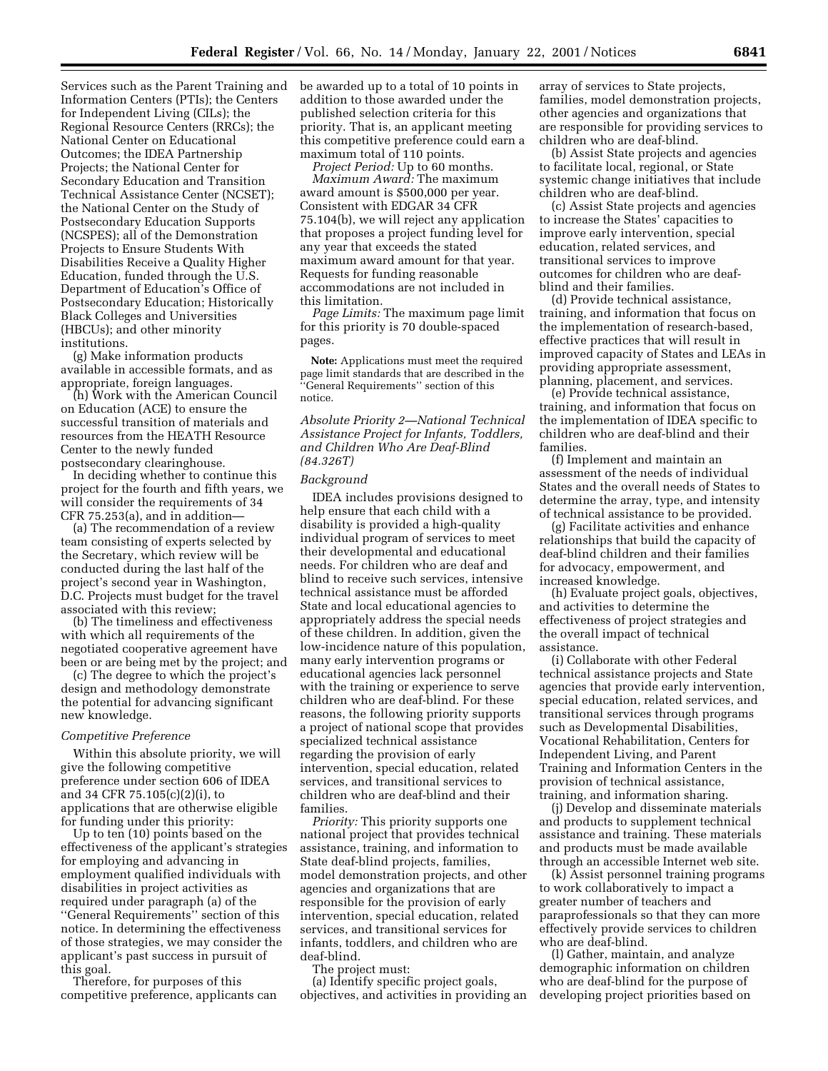Services such as the Parent Training and Information Centers (PTIs); the Centers for Independent Living (CILs); the Regional Resource Centers (RRCs); the National Center on Educational Outcomes; the IDEA Partnership Projects; the National Center for Secondary Education and Transition Technical Assistance Center (NCSET); the National Center on the Study of Postsecondary Education Supports (NCSPES); all of the Demonstration Projects to Ensure Students With Disabilities Receive a Quality Higher Education, funded through the U.S. Department of Education's Office of Postsecondary Education; Historically Black Colleges and Universities (HBCUs); and other minority institutions.

(g) Make information products available in accessible formats, and as appropriate, foreign languages.

(h) Work with the American Council on Education (ACE) to ensure the successful transition of materials and resources from the HEATH Resource Center to the newly funded postsecondary clearinghouse.

In deciding whether to continue this project for the fourth and fifth years, we will consider the requirements of 34 CFR 75.253(a), and in addition—

(a) The recommendation of a review team consisting of experts selected by the Secretary, which review will be conducted during the last half of the project's second year in Washington, D.C. Projects must budget for the travel associated with this review;

(b) The timeliness and effectiveness with which all requirements of the negotiated cooperative agreement have been or are being met by the project; and

(c) The degree to which the project's design and methodology demonstrate the potential for advancing significant new knowledge.

#### *Competitive Preference*

Within this absolute priority, we will give the following competitive preference under section 606 of IDEA and 34 CFR 75.105(c)(2)(i), to applications that are otherwise eligible for funding under this priority:

Up to ten (10) points based on the effectiveness of the applicant's strategies for employing and advancing in employment qualified individuals with disabilities in project activities as required under paragraph (a) of the ''General Requirements'' section of this notice. In determining the effectiveness of those strategies, we may consider the applicant's past success in pursuit of this goal.

Therefore, for purposes of this competitive preference, applicants can be awarded up to a total of 10 points in addition to those awarded under the published selection criteria for this priority. That is, an applicant meeting this competitive preference could earn a maximum total of 110 points.

*Project Period:* Up to 60 months. *Maximum Award:* The maximum award amount is \$500,000 per year. Consistent with EDGAR 34 CFR 75.104(b), we will reject any application that proposes a project funding level for any year that exceeds the stated maximum award amount for that year. Requests for funding reasonable accommodations are not included in this limitation.

*Page Limits:* The maximum page limit for this priority is 70 double-spaced pages.

**Note:** Applications must meet the required page limit standards that are described in the 'General Requirements'' section of this notice.

*Absolute Priority 2—National Technical Assistance Project for Infants, Toddlers, and Children Who Are Deaf-Blind (84.326T)*

#### *Background*

IDEA includes provisions designed to help ensure that each child with a disability is provided a high-quality individual program of services to meet their developmental and educational needs. For children who are deaf and blind to receive such services, intensive technical assistance must be afforded State and local educational agencies to appropriately address the special needs of these children. In addition, given the low-incidence nature of this population, many early intervention programs or educational agencies lack personnel with the training or experience to serve children who are deaf-blind. For these reasons, the following priority supports a project of national scope that provides specialized technical assistance regarding the provision of early intervention, special education, related services, and transitional services to children who are deaf-blind and their families.

*Priority:* This priority supports one national project that provides technical assistance, training, and information to State deaf-blind projects, families, model demonstration projects, and other agencies and organizations that are responsible for the provision of early intervention, special education, related services, and transitional services for infants, toddlers, and children who are deaf-blind.

The project must:

(a) Identify specific project goals, objectives, and activities in providing an

array of services to State projects, families, model demonstration projects, other agencies and organizations that are responsible for providing services to children who are deaf-blind.

(b) Assist State projects and agencies to facilitate local, regional, or State systemic change initiatives that include children who are deaf-blind.

(c) Assist State projects and agencies to increase the States' capacities to improve early intervention, special education, related services, and transitional services to improve outcomes for children who are deafblind and their families.

(d) Provide technical assistance, training, and information that focus on the implementation of research-based, effective practices that will result in improved capacity of States and LEAs in providing appropriate assessment, planning, placement, and services.

(e) Provide technical assistance, training, and information that focus on the implementation of IDEA specific to children who are deaf-blind and their families.

(f) Implement and maintain an assessment of the needs of individual States and the overall needs of States to determine the array, type, and intensity of technical assistance to be provided.

(g) Facilitate activities and enhance relationships that build the capacity of deaf-blind children and their families for advocacy, empowerment, and increased knowledge.

(h) Evaluate project goals, objectives, and activities to determine the effectiveness of project strategies and the overall impact of technical assistance.

(i) Collaborate with other Federal technical assistance projects and State agencies that provide early intervention, special education, related services, and transitional services through programs such as Developmental Disabilities, Vocational Rehabilitation, Centers for Independent Living, and Parent Training and Information Centers in the provision of technical assistance, training, and information sharing.

(j) Develop and disseminate materials and products to supplement technical assistance and training. These materials and products must be made available through an accessible Internet web site.

(k) Assist personnel training programs to work collaboratively to impact a greater number of teachers and paraprofessionals so that they can more effectively provide services to children who are deaf-blind.

(l) Gather, maintain, and analyze demographic information on children who are deaf-blind for the purpose of developing project priorities based on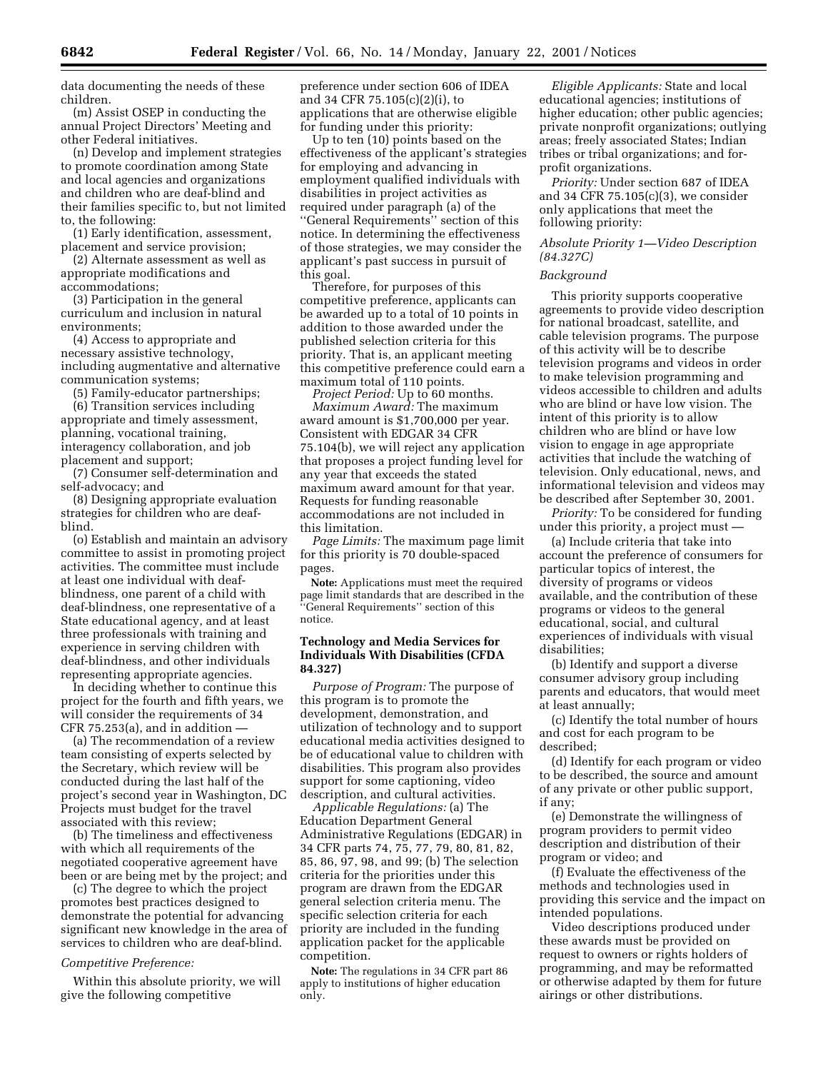data documenting the needs of these children.

(m) Assist OSEP in conducting the annual Project Directors' Meeting and other Federal initiatives.

(n) Develop and implement strategies to promote coordination among State and local agencies and organizations and children who are deaf-blind and their families specific to, but not limited to, the following:

(1) Early identification, assessment, placement and service provision;

(2) Alternate assessment as well as appropriate modifications and accommodations;

(3) Participation in the general curriculum and inclusion in natural environments;

(4) Access to appropriate and necessary assistive technology, including augmentative and alternative communication systems;

(5) Family-educator partnerships;

(6) Transition services including appropriate and timely assessment, planning, vocational training, interagency collaboration, and job placement and support;

(7) Consumer self-determination and self-advocacy; and

(8) Designing appropriate evaluation strategies for children who are deafblind.

(o) Establish and maintain an advisory committee to assist in promoting project activities. The committee must include at least one individual with deafblindness, one parent of a child with deaf-blindness, one representative of a State educational agency, and at least three professionals with training and experience in serving children with deaf-blindness, and other individuals representing appropriate agencies.

In deciding whether to continue this project for the fourth and fifth years, we will consider the requirements of 34 CFR 75.253(a), and in addition  $-$ 

(a) The recommendation of a review team consisting of experts selected by the Secretary, which review will be conducted during the last half of the project's second year in Washington, DC Projects must budget for the travel associated with this review;

(b) The timeliness and effectiveness with which all requirements of the negotiated cooperative agreement have been or are being met by the project; and

(c) The degree to which the project promotes best practices designed to demonstrate the potential for advancing significant new knowledge in the area of services to children who are deaf-blind.

## *Competitive Preference:*

Within this absolute priority, we will give the following competitive

preference under section 606 of IDEA and 34 CFR 75.105(c)(2)(i), to applications that are otherwise eligible for funding under this priority:

Up to ten (10) points based on the effectiveness of the applicant's strategies for employing and advancing in employment qualified individuals with disabilities in project activities as required under paragraph (a) of the ''General Requirements'' section of this notice. In determining the effectiveness of those strategies, we may consider the applicant's past success in pursuit of this goal.

Therefore, for purposes of this competitive preference, applicants can be awarded up to a total of 10 points in addition to those awarded under the published selection criteria for this priority. That is, an applicant meeting this competitive preference could earn a maximum total of 110 points.

*Project Period:* Up to 60 months. *Maximum Award:* The maximum award amount is \$1,700,000 per year. Consistent with EDGAR 34 CFR 75.104(b), we will reject any application that proposes a project funding level for any year that exceeds the stated maximum award amount for that year. Requests for funding reasonable accommodations are not included in this limitation.

*Page Limits:* The maximum page limit for this priority is 70 double-spaced pages.

**Note:** Applications must meet the required page limit standards that are described in the 'General Requirements'' section of this notice.

#### **Technology and Media Services for Individuals With Disabilities (CFDA 84.327)**

*Purpose of Program:* The purpose of this program is to promote the development, demonstration, and utilization of technology and to support educational media activities designed to be of educational value to children with disabilities. This program also provides support for some captioning, video description, and cultural activities.

*Applicable Regulations:* (a) The Education Department General Administrative Regulations (EDGAR) in 34 CFR parts 74, 75, 77, 79, 80, 81, 82, 85, 86, 97, 98, and 99; (b) The selection criteria for the priorities under this program are drawn from the EDGAR general selection criteria menu. The specific selection criteria for each priority are included in the funding application packet for the applicable competition.

**Note:** The regulations in 34 CFR part 86 apply to institutions of higher education only.

*Eligible Applicants:* State and local educational agencies; institutions of higher education; other public agencies; private nonprofit organizations; outlying areas; freely associated States; Indian tribes or tribal organizations; and forprofit organizations.

*Priority:* Under section 687 of IDEA and 34 CFR 75.105(c)(3), we consider only applications that meet the following priority:

# *Absolute Priority 1—Video Description (84.327C)*

## *Background*

This priority supports cooperative agreements to provide video description for national broadcast, satellite, and cable television programs. The purpose of this activity will be to describe television programs and videos in order to make television programming and videos accessible to children and adults who are blind or have low vision. The intent of this priority is to allow children who are blind or have low vision to engage in age appropriate activities that include the watching of television. Only educational, news, and informational television and videos may be described after September 30, 2001.

*Priority:* To be considered for funding under this priority, a project must —

(a) Include criteria that take into account the preference of consumers for particular topics of interest, the diversity of programs or videos available, and the contribution of these programs or videos to the general educational, social, and cultural experiences of individuals with visual disabilities;

(b) Identify and support a diverse consumer advisory group including parents and educators, that would meet at least annually;

(c) Identify the total number of hours and cost for each program to be described;

(d) Identify for each program or video to be described, the source and amount of any private or other public support, if any;

(e) Demonstrate the willingness of program providers to permit video description and distribution of their program or video; and

(f) Evaluate the effectiveness of the methods and technologies used in providing this service and the impact on intended populations.

Video descriptions produced under these awards must be provided on request to owners or rights holders of programming, and may be reformatted or otherwise adapted by them for future airings or other distributions.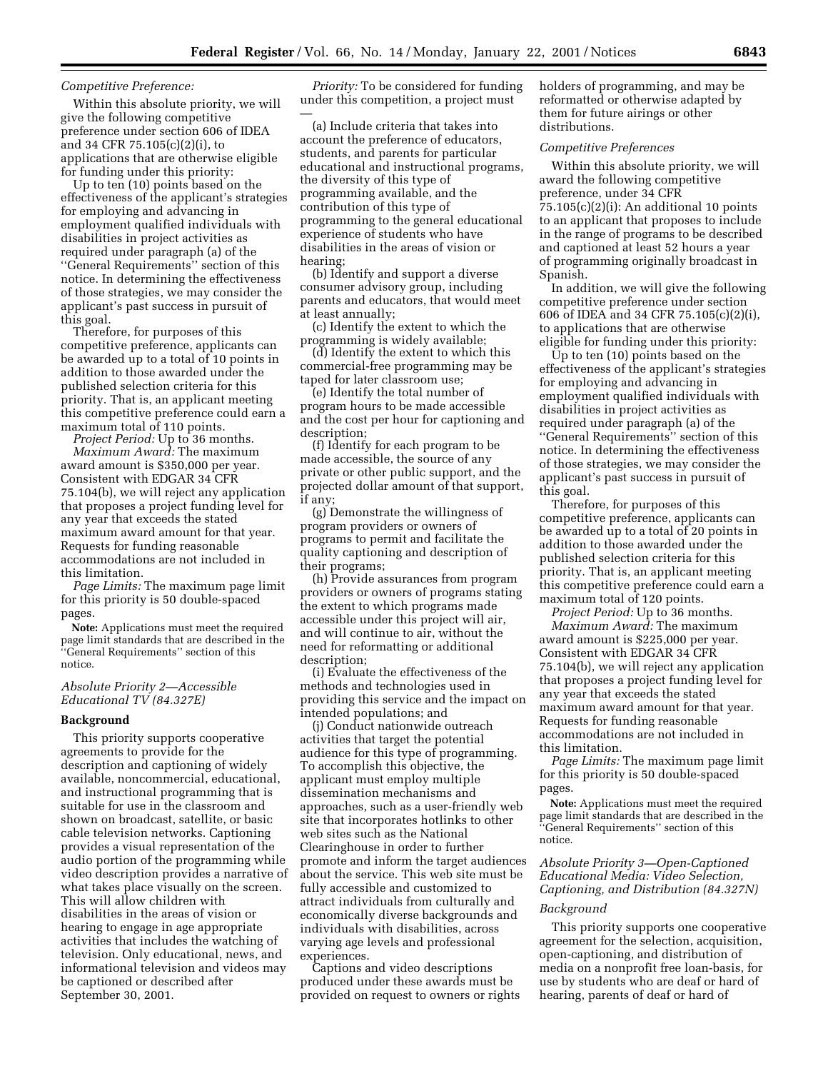# *Competitive Preference:*

Within this absolute priority, we will give the following competitive preference under section 606 of IDEA and 34 CFR 75.105(c)(2)(i), to applications that are otherwise eligible for funding under this priority:

Up to ten (10) points based on the effectiveness of the applicant's strategies for employing and advancing in employment qualified individuals with disabilities in project activities as required under paragraph (a) of the ''General Requirements'' section of this notice. In determining the effectiveness of those strategies, we may consider the applicant's past success in pursuit of this goal.

Therefore, for purposes of this competitive preference, applicants can be awarded up to a total of 10 points in addition to those awarded under the published selection criteria for this priority. That is, an applicant meeting this competitive preference could earn a maximum total of 110 points.

*Project Period:* Up to 36 months. *Maximum Award:* The maximum award amount is \$350,000 per year. Consistent with EDGAR 34 CFR 75.104(b), we will reject any application that proposes a project funding level for any year that exceeds the stated maximum award amount for that year. Requests for funding reasonable accommodations are not included in this limitation.

*Page Limits:* The maximum page limit for this priority is 50 double-spaced pages.

**Note:** Applications must meet the required page limit standards that are described in the ''General Requirements'' section of this notice.

## *Absolute Priority 2—Accessible Educational TV (84.327E)*

#### **Background**

This priority supports cooperative agreements to provide for the description and captioning of widely available, noncommercial, educational, and instructional programming that is suitable for use in the classroom and shown on broadcast, satellite, or basic cable television networks. Captioning provides a visual representation of the audio portion of the programming while video description provides a narrative of what takes place visually on the screen. This will allow children with disabilities in the areas of vision or hearing to engage in age appropriate activities that includes the watching of television. Only educational, news, and informational television and videos may be captioned or described after September 30, 2001.

*Priority:* To be considered for funding under this competition, a project must —

(a) Include criteria that takes into account the preference of educators, students, and parents for particular educational and instructional programs, the diversity of this type of programming available, and the contribution of this type of programming to the general educational experience of students who have disabilities in the areas of vision or hearing;

(b) Identify and support a diverse consumer advisory group, including parents and educators, that would meet at least annually;

(c) Identify the extent to which the programming is widely available;

(d) Identify the extent to which this commercial-free programming may be taped for later classroom use;

(e) Identify the total number of program hours to be made accessible and the cost per hour for captioning and description;

(f) Identify for each program to be made accessible, the source of any private or other public support, and the projected dollar amount of that support, if any;

(g) Demonstrate the willingness of program providers or owners of programs to permit and facilitate the quality captioning and description of their programs;

(h) Provide assurances from program providers or owners of programs stating the extent to which programs made accessible under this project will air, and will continue to air, without the need for reformatting or additional description;

(i) Evaluate the effectiveness of the methods and technologies used in providing this service and the impact on intended populations; and

(j) Conduct nationwide outreach activities that target the potential audience for this type of programming. To accomplish this objective, the applicant must employ multiple dissemination mechanisms and approaches, such as a user-friendly web site that incorporates hotlinks to other web sites such as the National Clearinghouse in order to further promote and inform the target audiences about the service. This web site must be fully accessible and customized to attract individuals from culturally and economically diverse backgrounds and individuals with disabilities, across varying age levels and professional experiences.

Captions and video descriptions produced under these awards must be provided on request to owners or rights holders of programming, and may be reformatted or otherwise adapted by them for future airings or other distributions.

#### *Competitive Preferences*

Within this absolute priority, we will award the following competitive preference, under 34 CFR  $75.105(c)(2)(i)$ : An additional 10 points to an applicant that proposes to include in the range of programs to be described and captioned at least 52 hours a year of programming originally broadcast in Spanish.

In addition, we will give the following competitive preference under section 606 of IDEA and 34 CFR 75.105(c)(2)(i), to applications that are otherwise eligible for funding under this priority:

Up to ten (10) points based on the effectiveness of the applicant's strategies for employing and advancing in employment qualified individuals with disabilities in project activities as required under paragraph (a) of the ''General Requirements'' section of this notice. In determining the effectiveness of those strategies, we may consider the applicant's past success in pursuit of this goal.

Therefore, for purposes of this competitive preference, applicants can be awarded up to a total of 20 points in addition to those awarded under the published selection criteria for this priority. That is, an applicant meeting this competitive preference could earn a maximum total of 120 points.

*Project Period:* Up to 36 months.

*Maximum Award:* The maximum award amount is \$225,000 per year. Consistent with EDGAR 34 CFR 75.104(b), we will reject any application that proposes a project funding level for any year that exceeds the stated maximum award amount for that year. Requests for funding reasonable accommodations are not included in this limitation.

*Page Limits:* The maximum page limit for this priority is 50 double-spaced pages.

**Note:** Applications must meet the required page limit standards that are described in the ''General Requirements'' section of this notice.

# *Absolute Priority 3—Open-Captioned Educational Media: Video Selection, Captioning, and Distribution (84.327N)*

## *Background*

This priority supports one cooperative agreement for the selection, acquisition, open-captioning, and distribution of media on a nonprofit free loan-basis, for use by students who are deaf or hard of hearing, parents of deaf or hard of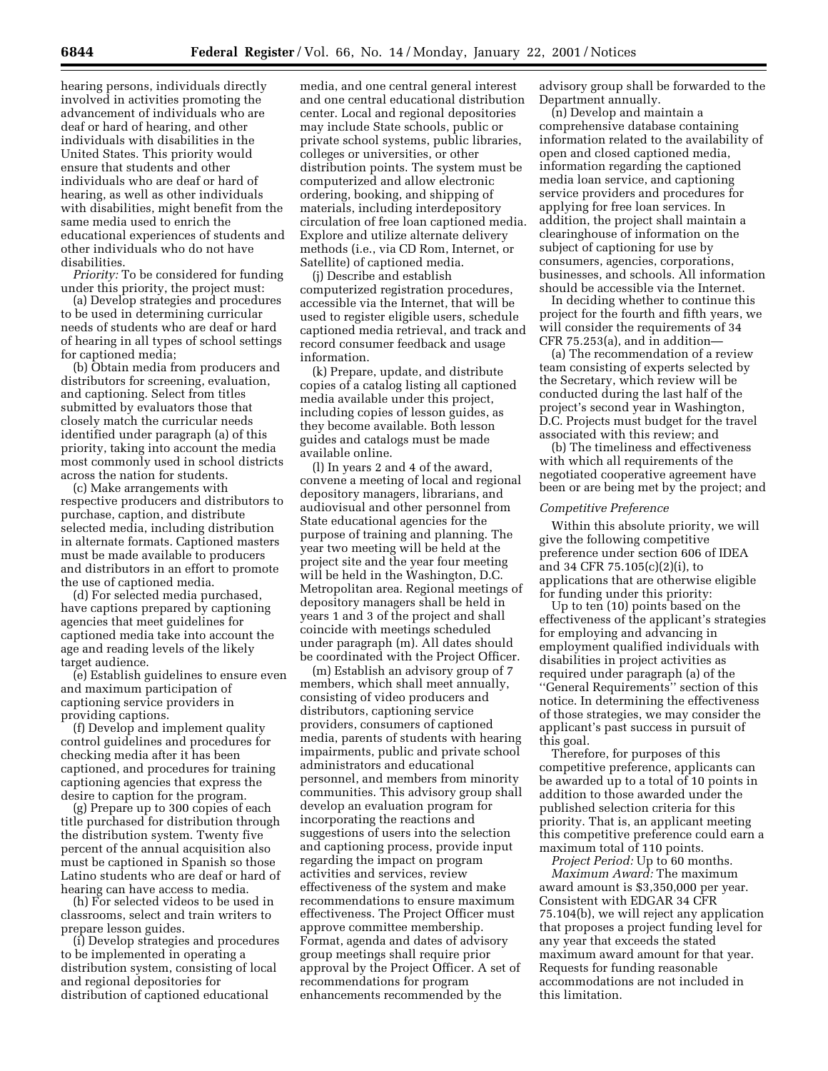hearing persons, individuals directly involved in activities promoting the advancement of individuals who are deaf or hard of hearing, and other individuals with disabilities in the United States. This priority would ensure that students and other individuals who are deaf or hard of hearing, as well as other individuals with disabilities, might benefit from the same media used to enrich the educational experiences of students and other individuals who do not have disabilities.

*Priority:* To be considered for funding under this priority, the project must:

(a) Develop strategies and procedures to be used in determining curricular needs of students who are deaf or hard of hearing in all types of school settings for captioned media;

(b) Obtain media from producers and distributors for screening, evaluation, and captioning. Select from titles submitted by evaluators those that closely match the curricular needs identified under paragraph (a) of this priority, taking into account the media most commonly used in school districts across the nation for students.

(c) Make arrangements with respective producers and distributors to purchase, caption, and distribute selected media, including distribution in alternate formats. Captioned masters must be made available to producers and distributors in an effort to promote the use of captioned media.

(d) For selected media purchased, have captions prepared by captioning agencies that meet guidelines for captioned media take into account the age and reading levels of the likely target audience.

(e) Establish guidelines to ensure even and maximum participation of captioning service providers in providing captions.

(f) Develop and implement quality control guidelines and procedures for checking media after it has been captioned, and procedures for training captioning agencies that express the desire to caption for the program.

(g) Prepare up to 300 copies of each title purchased for distribution through the distribution system. Twenty five percent of the annual acquisition also must be captioned in Spanish so those Latino students who are deaf or hard of hearing can have access to media.

(h) For selected videos to be used in classrooms, select and train writers to prepare lesson guides.

(i) Develop strategies and procedures to be implemented in operating a distribution system, consisting of local and regional depositories for distribution of captioned educational

media, and one central general interest and one central educational distribution center. Local and regional depositories may include State schools, public or private school systems, public libraries, colleges or universities, or other distribution points. The system must be computerized and allow electronic ordering, booking, and shipping of materials, including interdepository circulation of free loan captioned media. Explore and utilize alternate delivery methods (i.e., via CD Rom, Internet, or Satellite) of captioned media.

(j) Describe and establish computerized registration procedures, accessible via the Internet, that will be used to register eligible users, schedule captioned media retrieval, and track and record consumer feedback and usage information.

(k) Prepare, update, and distribute copies of a catalog listing all captioned media available under this project, including copies of lesson guides, as they become available. Both lesson guides and catalogs must be made available online.

(l) In years 2 and 4 of the award, convene a meeting of local and regional depository managers, librarians, and audiovisual and other personnel from State educational agencies for the purpose of training and planning. The year two meeting will be held at the project site and the year four meeting will be held in the Washington, D.C. Metropolitan area. Regional meetings of depository managers shall be held in years 1 and 3 of the project and shall coincide with meetings scheduled under paragraph (m). All dates should be coordinated with the Project Officer.

(m) Establish an advisory group of 7 members, which shall meet annually, consisting of video producers and distributors, captioning service providers, consumers of captioned media, parents of students with hearing impairments, public and private school administrators and educational personnel, and members from minority communities. This advisory group shall develop an evaluation program for incorporating the reactions and suggestions of users into the selection and captioning process, provide input regarding the impact on program activities and services, review effectiveness of the system and make recommendations to ensure maximum effectiveness. The Project Officer must approve committee membership. Format, agenda and dates of advisory group meetings shall require prior approval by the Project Officer. A set of recommendations for program enhancements recommended by the

advisory group shall be forwarded to the Department annually.

(n) Develop and maintain a comprehensive database containing information related to the availability of open and closed captioned media, information regarding the captioned media loan service, and captioning service providers and procedures for applying for free loan services. In addition, the project shall maintain a clearinghouse of information on the subject of captioning for use by consumers, agencies, corporations, businesses, and schools. All information should be accessible via the Internet.

In deciding whether to continue this project for the fourth and fifth years, we will consider the requirements of 34 CFR 75.253(a), and in addition—

(a) The recommendation of a review team consisting of experts selected by the Secretary, which review will be conducted during the last half of the project's second year in Washington, D.C. Projects must budget for the travel associated with this review; and

(b) The timeliness and effectiveness with which all requirements of the negotiated cooperative agreement have been or are being met by the project; and

## *Competitive Preference*

Within this absolute priority, we will give the following competitive preference under section 606 of IDEA and 34 CFR 75.105(c)(2)(i), to applications that are otherwise eligible for funding under this priority:

Up to ten (10) points based on the effectiveness of the applicant's strategies for employing and advancing in employment qualified individuals with disabilities in project activities as required under paragraph (a) of the ''General Requirements'' section of this notice. In determining the effectiveness of those strategies, we may consider the applicant's past success in pursuit of this goal.

Therefore, for purposes of this competitive preference, applicants can be awarded up to a total of 10 points in addition to those awarded under the published selection criteria for this priority. That is, an applicant meeting this competitive preference could earn a maximum total of 110 points.

*Project Period:* Up to 60 months. *Maximum Award:* The maximum award amount is \$3,350,000 per year. Consistent with EDGAR 34 CFR 75.104(b), we will reject any application that proposes a project funding level for any year that exceeds the stated maximum award amount for that year. Requests for funding reasonable accommodations are not included in this limitation.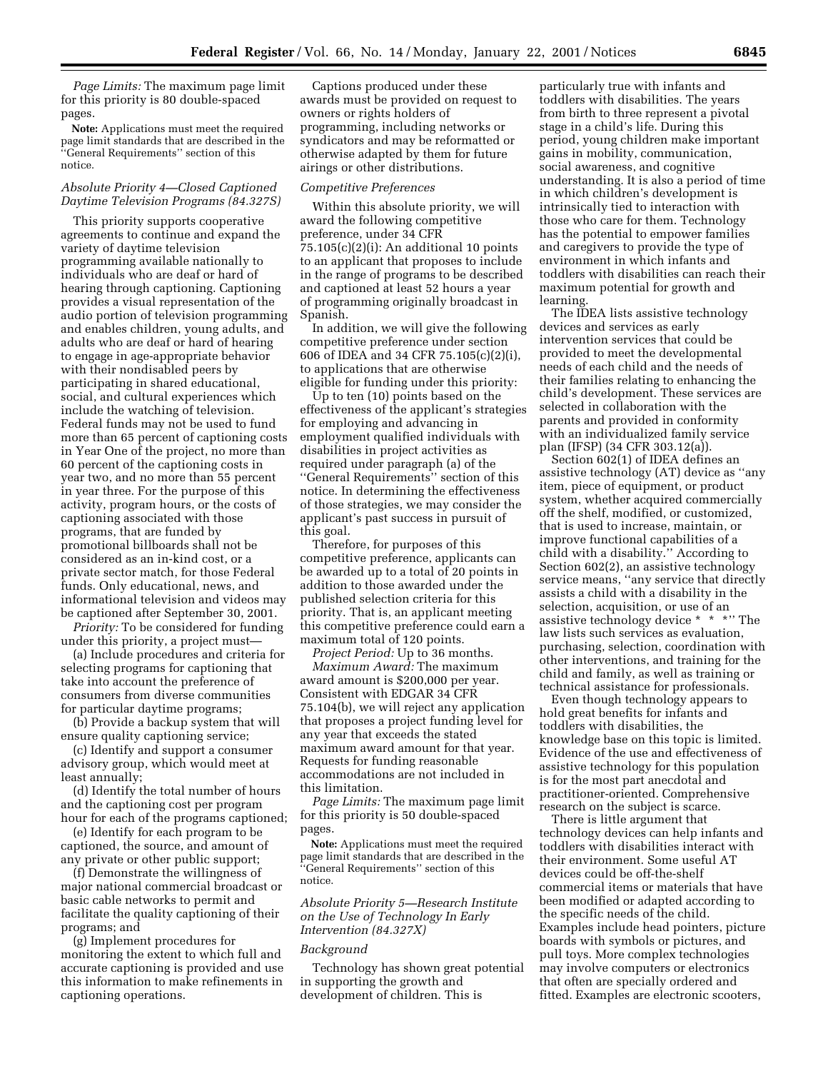*Page Limits:* The maximum page limit for this priority is 80 double-spaced pages.

**Note:** Applications must meet the required page limit standards that are described in the ''General Requirements'' section of this notice.

## *Absolute Priority 4—Closed Captioned Daytime Television Programs (84.327S)*

This priority supports cooperative agreements to continue and expand the variety of daytime television programming available nationally to individuals who are deaf or hard of hearing through captioning. Captioning provides a visual representation of the audio portion of television programming and enables children, young adults, and adults who are deaf or hard of hearing to engage in age-appropriate behavior with their nondisabled peers by participating in shared educational, social, and cultural experiences which include the watching of television. Federal funds may not be used to fund more than 65 percent of captioning costs in Year One of the project, no more than 60 percent of the captioning costs in year two, and no more than 55 percent in year three. For the purpose of this activity, program hours, or the costs of captioning associated with those programs, that are funded by promotional billboards shall not be considered as an in-kind cost, or a private sector match, for those Federal funds. Only educational, news, and informational television and videos may be captioned after September 30, 2001.

*Priority:* To be considered for funding under this priority, a project must—

(a) Include procedures and criteria for selecting programs for captioning that take into account the preference of consumers from diverse communities for particular daytime programs;

(b) Provide a backup system that will ensure quality captioning service;

(c) Identify and support a consumer advisory group, which would meet at least annually;

(d) Identify the total number of hours and the captioning cost per program hour for each of the programs captioned;

(e) Identify for each program to be captioned, the source, and amount of any private or other public support;

(f) Demonstrate the willingness of major national commercial broadcast or basic cable networks to permit and facilitate the quality captioning of their programs; and

(g) Implement procedures for monitoring the extent to which full and accurate captioning is provided and use this information to make refinements in captioning operations.

Captions produced under these awards must be provided on request to owners or rights holders of programming, including networks or syndicators and may be reformatted or otherwise adapted by them for future airings or other distributions.

#### *Competitive Preferences*

Within this absolute priority, we will award the following competitive preference, under 34 CFR 75.105(c)(2)(i): An additional 10 points to an applicant that proposes to include in the range of programs to be described and captioned at least 52 hours a year of programming originally broadcast in Spanish.

In addition, we will give the following competitive preference under section 606 of IDEA and 34 CFR 75.105(c)(2)(i), to applications that are otherwise eligible for funding under this priority:

Up to ten (10) points based on the effectiveness of the applicant's strategies for employing and advancing in employment qualified individuals with disabilities in project activities as required under paragraph (a) of the ''General Requirements'' section of this notice. In determining the effectiveness of those strategies, we may consider the applicant's past success in pursuit of this goal.

Therefore, for purposes of this competitive preference, applicants can be awarded up to a total of 20 points in addition to those awarded under the published selection criteria for this priority. That is, an applicant meeting this competitive preference could earn a maximum total of 120 points.

*Project Period:* Up to 36 months.

*Maximum Award:* The maximum award amount is \$200,000 per year. Consistent with EDGAR 34 CFR 75.104(b), we will reject any application that proposes a project funding level for any year that exceeds the stated maximum award amount for that year. Requests for funding reasonable accommodations are not included in this limitation.

*Page Limits:* The maximum page limit for this priority is 50 double-spaced pages.

**Note:** Applications must meet the required page limit standards that are described in the ''General Requirements'' section of this notice.

*Absolute Priority 5—Research Institute on the Use of Technology In Early Intervention (84.327X)*

### *Background*

Technology has shown great potential in supporting the growth and development of children. This is

particularly true with infants and toddlers with disabilities. The years from birth to three represent a pivotal stage in a child's life. During this period, young children make important gains in mobility, communication, social awareness, and cognitive understanding. It is also a period of time in which children's development is intrinsically tied to interaction with those who care for them. Technology has the potential to empower families and caregivers to provide the type of environment in which infants and toddlers with disabilities can reach their maximum potential for growth and learning.

The IDEA lists assistive technology devices and services as early intervention services that could be provided to meet the developmental needs of each child and the needs of their families relating to enhancing the child's development. These services are selected in collaboration with the parents and provided in conformity with an individualized family service plan (IFSP) (34 CFR 303.12(a)).

Section 602(1) of IDEA defines an assistive technology (AT) device as ''any item, piece of equipment, or product system, whether acquired commercially off the shelf, modified, or customized, that is used to increase, maintain, or improve functional capabilities of a child with a disability.'' According to Section 602(2), an assistive technology service means, ''any service that directly assists a child with a disability in the selection, acquisition, or use of an assistive technology device \* \* \*'' The law lists such services as evaluation, purchasing, selection, coordination with other interventions, and training for the child and family, as well as training or technical assistance for professionals.

Even though technology appears to hold great benefits for infants and toddlers with disabilities, the knowledge base on this topic is limited. Evidence of the use and effectiveness of assistive technology for this population is for the most part anecdotal and practitioner-oriented. Comprehensive research on the subject is scarce.

There is little argument that technology devices can help infants and toddlers with disabilities interact with their environment. Some useful AT devices could be off-the-shelf commercial items or materials that have been modified or adapted according to the specific needs of the child. Examples include head pointers, picture boards with symbols or pictures, and pull toys. More complex technologies may involve computers or electronics that often are specially ordered and fitted. Examples are electronic scooters,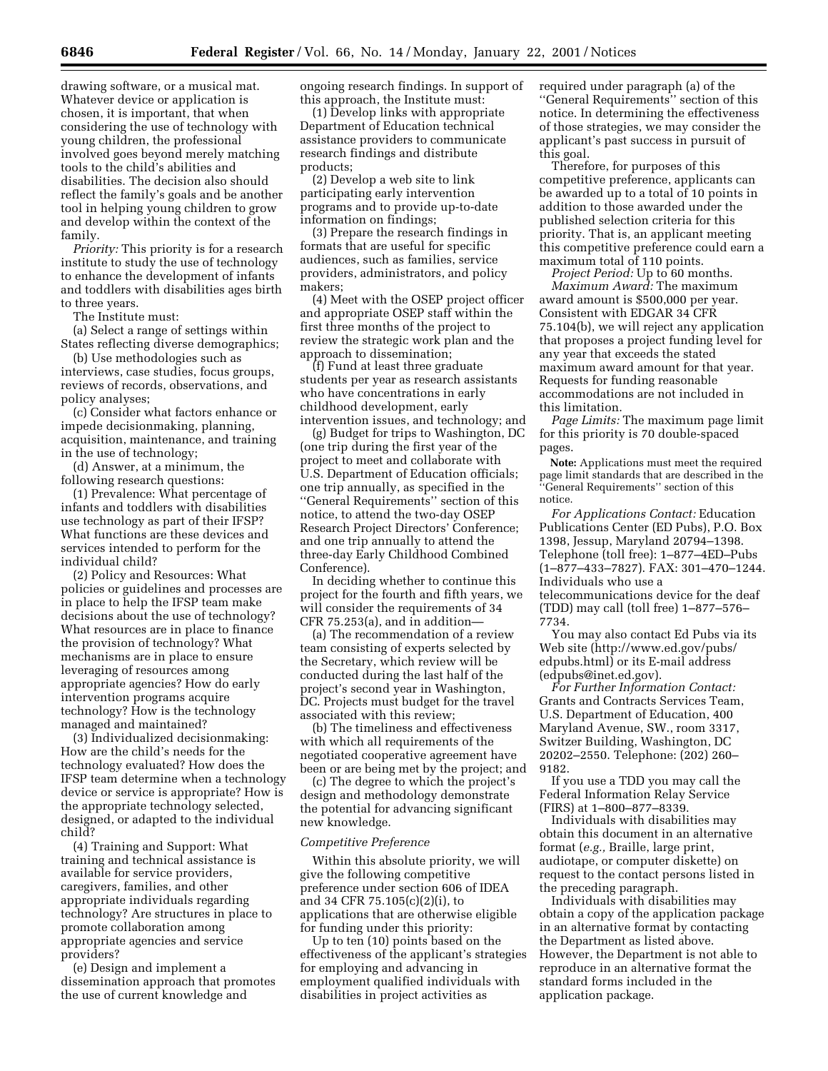drawing software, or a musical mat. Whatever device or application is chosen, it is important, that when considering the use of technology with young children, the professional involved goes beyond merely matching tools to the child's abilities and disabilities. The decision also should reflect the family's goals and be another tool in helping young children to grow and develop within the context of the family.

*Priority:* This priority is for a research institute to study the use of technology to enhance the development of infants and toddlers with disabilities ages birth to three years.

The Institute must:

(a) Select a range of settings within States reflecting diverse demographics;

(b) Use methodologies such as interviews, case studies, focus groups, reviews of records, observations, and policy analyses;

(c) Consider what factors enhance or impede decisionmaking, planning, acquisition, maintenance, and training in the use of technology;

(d) Answer, at a minimum, the following research questions:

(1) Prevalence: What percentage of infants and toddlers with disabilities use technology as part of their IFSP? What functions are these devices and services intended to perform for the individual child?

(2) Policy and Resources: What policies or guidelines and processes are in place to help the IFSP team make decisions about the use of technology? What resources are in place to finance the provision of technology? What mechanisms are in place to ensure leveraging of resources among appropriate agencies? How do early intervention programs acquire technology? How is the technology managed and maintained?

(3) Individualized decisionmaking: How are the child's needs for the technology evaluated? How does the IFSP team determine when a technology device or service is appropriate? How is the appropriate technology selected, designed, or adapted to the individual child?

(4) Training and Support: What training and technical assistance is available for service providers, caregivers, families, and other appropriate individuals regarding technology? Are structures in place to promote collaboration among appropriate agencies and service providers?

(e) Design and implement a dissemination approach that promotes the use of current knowledge and

ongoing research findings. In support of this approach, the Institute must:

(1) Develop links with appropriate Department of Education technical assistance providers to communicate research findings and distribute products;

(2) Develop a web site to link participating early intervention programs and to provide up-to-date information on findings;

(3) Prepare the research findings in formats that are useful for specific audiences, such as families, service providers, administrators, and policy makers;

(4) Meet with the OSEP project officer and appropriate OSEP staff within the first three months of the project to review the strategic work plan and the approach to dissemination;

(f) Fund at least three graduate students per year as research assistants who have concentrations in early childhood development, early intervention issues, and technology; and

(g) Budget for trips to Washington, DC (one trip during the first year of the project to meet and collaborate with U.S. Department of Education officials; one trip annually, as specified in the ''General Requirements'' section of this notice, to attend the two-day OSEP Research Project Directors' Conference; and one trip annually to attend the three-day Early Childhood Combined Conference).

In deciding whether to continue this project for the fourth and fifth years, we will consider the requirements of 34 CFR 75.253(a), and in addition—

(a) The recommendation of a review team consisting of experts selected by the Secretary, which review will be conducted during the last half of the project's second year in Washington, DC. Projects must budget for the travel associated with this review;

(b) The timeliness and effectiveness with which all requirements of the negotiated cooperative agreement have been or are being met by the project; and

(c) The degree to which the project's design and methodology demonstrate the potential for advancing significant new knowledge.

#### *Competitive Preference*

Within this absolute priority, we will give the following competitive preference under section 606 of IDEA and 34 CFR 75.105(c)(2)(i), to applications that are otherwise eligible for funding under this priority:

Up to ten (10) points based on the effectiveness of the applicant's strategies for employing and advancing in employment qualified individuals with disabilities in project activities as

required under paragraph (a) of the ''General Requirements'' section of this notice. In determining the effectiveness of those strategies, we may consider the applicant's past success in pursuit of this goal.

Therefore, for purposes of this competitive preference, applicants can be awarded up to a total of 10 points in addition to those awarded under the published selection criteria for this priority. That is, an applicant meeting this competitive preference could earn a maximum total of 110 points.

*Project Period:* Up to 60 months. *Maximum Award:* The maximum award amount is \$500,000 per year. Consistent with EDGAR 34 CFR 75.104(b), we will reject any application that proposes a project funding level for any year that exceeds the stated maximum award amount for that year. Requests for funding reasonable accommodations are not included in this limitation.

*Page Limits:* The maximum page limit for this priority is 70 double-spaced pages.

**Note:** Applications must meet the required page limit standards that are described in the ''General Requirements'' section of this notice.

*For Applications Contact:* Education Publications Center (ED Pubs), P.O. Box 1398, Jessup, Maryland 20794–1398. Telephone (toll free): 1–877–4ED–Pubs (1–877–433–7827). FAX: 301–470–1244. Individuals who use a telecommunications device for the deaf (TDD) may call (toll free) 1–877–576– 7734.

You may also contact Ed Pubs via its Web site (http://www.ed.gov/pubs/ edpubs.html) or its E-mail address (edpubs@inet.ed.gov).

*For Further Information Contact:* Grants and Contracts Services Team, U.S. Department of Education, 400 Maryland Avenue, SW., room 3317, Switzer Building, Washington, DC 20202–2550. Telephone: (202) 260– 9182.

If you use a TDD you may call the Federal Information Relay Service (FIRS) at 1–800–877–8339.

Individuals with disabilities may obtain this document in an alternative format (*e.g.,* Braille, large print, audiotape, or computer diskette) on request to the contact persons listed in the preceding paragraph.

Individuals with disabilities may obtain a copy of the application package in an alternative format by contacting the Department as listed above. However, the Department is not able to reproduce in an alternative format the standard forms included in the application package.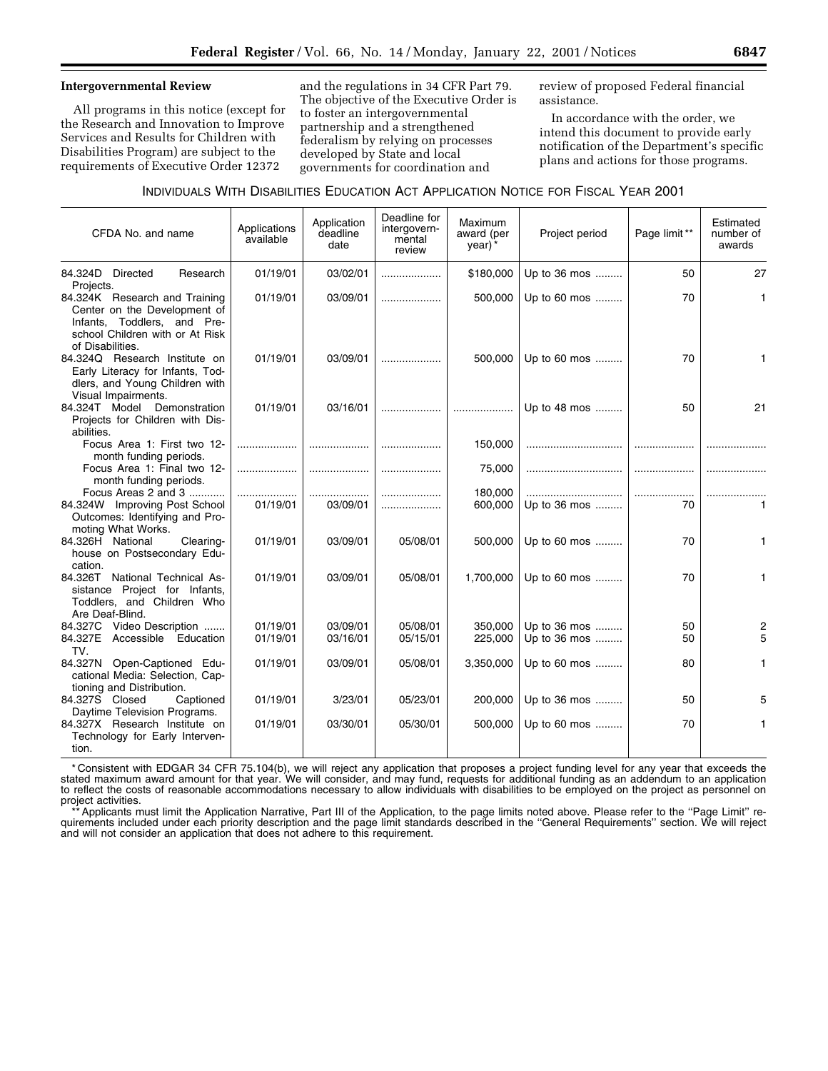#### **Intergovernmental Review**

All programs in this notice (except for the Research and Innovation to Improve Services and Results for Children with Disabilities Program) are subject to the requirements of Executive Order 12372

and the regulations in 34 CFR Part 79. The objective of the Executive Order is to foster an intergovernmental partnership and a strengthened federalism by relying on processes developed by State and local governments for coordination and

review of proposed Federal financial assistance.

In accordance with the order, we intend this document to provide early notification of the Department's specific plans and actions for those programs.

| CFDA No. and name                                                                                                                              | Applications<br>available | Application<br>deadline<br>date | Deadline for<br>intergovern-<br>mental<br>review | Maximum<br>award (per<br>year) | Project period               | Page limit** | Estimated<br>number of<br>awards |
|------------------------------------------------------------------------------------------------------------------------------------------------|---------------------------|---------------------------------|--------------------------------------------------|--------------------------------|------------------------------|--------------|----------------------------------|
| 84.324D Directed<br>Research                                                                                                                   | 01/19/01                  | 03/02/01                        |                                                  | \$180,000                      | Up to 36 mos                 | 50           | 27                               |
| Projects.<br>84.324K Research and Training<br>Center on the Development of<br>Infants, Toddlers, and Pre-<br>school Children with or At Risk   | 01/19/01                  | 03/09/01                        |                                                  | 500,000                        | Up to 60 mos                 | 70           | 1                                |
| of Disabilities.<br>84.324Q Research Institute on<br>Early Literacy for Infants, Tod-<br>dlers, and Young Children with<br>Visual Impairments. | 01/19/01                  | 03/09/01                        |                                                  | 500,000                        | Up to 60 mos                 | 70           |                                  |
| 84.324T Model Demonstration<br>Projects for Children with Dis-<br>abilities.                                                                   | 01/19/01                  | 03/16/01                        |                                                  |                                | Up to 48 mos                 | 50           | 21                               |
| Focus Area 1: First two 12-<br>month funding periods.                                                                                          | .                         |                                 |                                                  | 150,000                        |                              |              |                                  |
| Focus Area 1: Final two 12-<br>month funding periods.                                                                                          | .                         |                                 |                                                  | 75,000                         |                              |              |                                  |
| Focus Areas 2 and 3                                                                                                                            |                           |                                 |                                                  | 180,000                        |                              |              |                                  |
| 84.324W Improving Post School<br>Outcomes: Identifying and Pro-<br>moting What Works.                                                          | 01/19/01                  | 03/09/01                        |                                                  | 600,000                        | Up to 36 mos                 | 70           |                                  |
| 84.326H National<br>Clearing-<br>house on Postsecondary Edu-<br>cation.                                                                        | 01/19/01                  | 03/09/01                        | 05/08/01                                         | 500,000                        | Up to 60 mos                 | 70           | 1                                |
| 84.326T National Technical As-<br>sistance Project for Infants,<br>Toddlers, and Children Who<br>Are Deaf-Blind.                               | 01/19/01                  | 03/09/01                        | 05/08/01                                         | 1,700,000                      | Up to 60 mos                 | 70           |                                  |
| 84.327C Video Description<br>84.327E Accessible Education<br>TV.                                                                               | 01/19/01<br>01/19/01      | 03/09/01<br>03/16/01            | 05/08/01<br>05/15/01                             | 350.000<br>225,000             | Up to 36 mos<br>Up to 36 mos | 50<br>50     | 2<br>5                           |
| 84.327N Open-Captioned Edu-<br>cational Media: Selection, Cap-<br>tioning and Distribution.                                                    | 01/19/01                  | 03/09/01                        | 05/08/01                                         | 3,350,000                      | Up to 60 mos                 | 80           |                                  |
| 84.327S Closed<br>Captioned<br>Daytime Television Programs.                                                                                    | 01/19/01                  | 3/23/01                         | 05/23/01                                         | 200,000                        | Up to 36 mos                 | 50           |                                  |
| 84.327X Research Institute on<br>Technology for Early Interven-<br>tion.                                                                       | 01/19/01                  | 03/30/01                        | 05/30/01                                         | 500,000                        | Up to 60 mos                 | 70           |                                  |

\* Consistent with EDGAR 34 CFR 75.104(b), we will reject any application that proposes a project funding level for any year that exceeds the stated maximum award amount for that year. We will consider, and may fund, requests for additional funding as an addendum to an application to reflect the costs of reasonable accommodations necessary to allow individuals with disabilities to be employed on the project as personnel on project activities.

\*\* Applicants must limit the Application Narrative, Part III of the Application, to the page limits noted above. Please refer to the ''Page Limit'' requirements included under each priority description and the page limit standards described in the ''General Requirements'' section. We will reject and will not consider an application that does not adhere to this requirement.